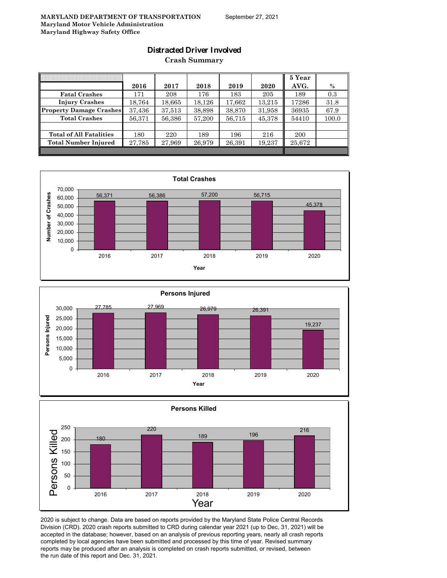## **Distracted Driver Involved**

**Crash Summary**

|                                |        |        |            |        |        | 5 Year |       |
|--------------------------------|--------|--------|------------|--------|--------|--------|-------|
|                                | 2016   | 2017   | 2018       | 2019   | 2020   | AVG.   | $\%$  |
| <b>Fatal Crashes</b>           | 171    | 208    | 176        | 183    | 205    | 189    | 0.3   |
| <b>Injury Crashes</b>          | 18,764 | 18.665 | $18.126\,$ | 17,662 | 13,215 | 17286  | 31.8  |
| <b>Property Damage Crashes</b> | 37,436 | 37.513 | 38.898     | 38,870 | 31,958 | 36935  | 67.9  |
| <b>Total Crashes</b>           | 56,371 | 56,386 | 57,200     | 56,715 | 45,378 | 54410  | 100.0 |
|                                |        |        |            |        |        |        |       |
| <b>Total of All Fatalities</b> | 180    | 220    | 189        | 196    | 216    | 200    |       |
| <b>Total Number Injured</b>    | 27,785 | 27,969 | 26,979     | 26,391 | 19,237 | 25,672 |       |
|                                |        |        |            |        |        |        |       |







2020 is subject to change. Data are based on reports provided by the Maryland State Police Central Records Division (CRD). 2020 crash reports submitted to CRD during calendar year 2021 (up to Dec, 31, 2021) will be accepted in the database; however, based on an analysis of previous reporting years, nearly all crash reports completed by local agencies have been submitted and processed by this time of year. Revised summary reports may be produced after an analysis is completed on crash reports submitted, or revised, between the run date of this report and Dec. 31, 2021.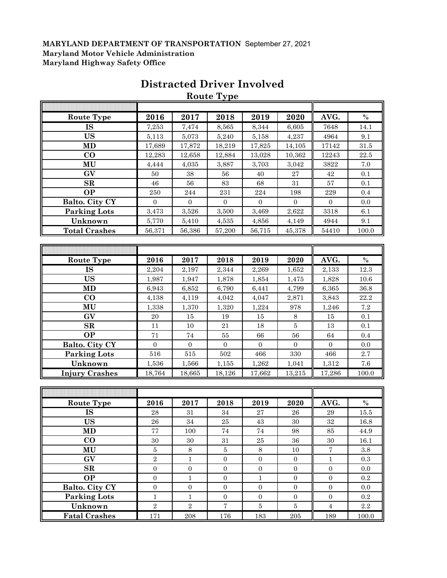|                        |                  |                  | Route Type       |                  |                  |                  |               |
|------------------------|------------------|------------------|------------------|------------------|------------------|------------------|---------------|
|                        |                  |                  |                  |                  |                  |                  |               |
| <b>Route Type</b>      | 2016             | 2017             | 2018             | 2019             | 2020             | AVG.             | $\%$          |
| <b>IS</b>              | 7,253            | 7,474            | 8,565            | 8,344            | 6,605            | 7648             | 14.1          |
| <b>US</b>              | 5,113            | 5,073            | 5,240            | 5,158            | 4,237            | 4964             | 9.1           |
| <b>MD</b>              | 17,689           | 17,872           | 18,219           | 17,825           | 14,105           | 17142            | $31.5\,$      |
| $\bf CO$               | 12,283           | 12,658           | 12,884           | 13,028           | 10,362           | 12243            | 22.5          |
| MU                     | 4,444            | 4,035            | 3,887            | 3,703            | 3,042            | 3822             | 7.0           |
| GV                     | 50               | 38               | 56               | 40               | $\bf 27$         | 42               | 0.1           |
| $\mathbf{SR}$          | 46               | 56               | 83               | 68               | 31               | 57               | 0.1           |
| <b>OP</b>              | 250              | 244              | 231              | $\bf 224$        | 198              | $229\,$          | 0.4           |
| Balto. City CY         | $\mathbf{0}$     | $\boldsymbol{0}$ | $\boldsymbol{0}$ | $\mathbf{0}$     | $\boldsymbol{0}$ | $\boldsymbol{0}$ | 0.0           |
| <b>Parking Lots</b>    | 3,473            | 3,526            | 3,500            | 3,469            | 2,622            | 3318             | 6.1           |
| Unknown                | 5,770            | 5,410            | 4,535            | 4,856            | 4,149            | 4944             | $9.1\,$       |
| <b>Total Crashes</b>   | 56,371           | 56,386           | 57,200           | 56,715           | 45,378           | 54410            | 100.0         |
|                        |                  |                  |                  |                  |                  |                  |               |
|                        |                  |                  |                  |                  |                  |                  |               |
| <b>Route Type</b>      | 2016             | 2017             | 2018             | 2019             | 2020             | AVG.             | $\frac{0}{0}$ |
| $\overline{\text{IS}}$ | 2,204            | 2,197            | 2,344            | 2,269            | 1,652            | 2,133            | 12.3          |
| <b>US</b>              | 1,987            | 1,947            | 1,878            | 1,854            | 1,475            | 1,828            | 10.6          |
| <b>MD</b>              | 6,943            | 6,852            | 6,790            | 6,441            | 4,799            | 6,365            | 36.8          |
| $\bf CO$               | 4,138            | 4,119            | 4,042            | 4,047            | 2,871            | 3,843            | 22.2          |
| MU                     | 1,338            | 1,370            | 1,320            | 1,224            | 978              | 1,246            | 7.2           |
| GV                     | $20\,$           | 15               | 19               | $15\,$           | $\,8\,$          | 15               | 0.1           |
| SR                     | 11               | 10               | 21               | 18               | $\overline{5}$   | 13               | 0.1           |
| <b>OP</b>              | 71               | $74\,$           | 55               | 66               | 56               | 64               | 0.4           |
| Balto. City CY         | $\mathbf{0}$     | $\mathbf{0}$     | $\mathbf{0}$     | $\overline{0}$   | $\boldsymbol{0}$ | $\mathbf{0}$     | 0.0           |
| <b>Parking Lots</b>    | 516              | 515              | $502\,$          | 466              | 330              | 466              | 2.7           |
| Unknown                | 1,536            | 1,566            | 1,155            | 1,262            | 1,041            | 1,312            | 7.6           |
| <b>Injury Crashes</b>  | 18,764           | 18,665           | 18,126           | 17,662           | 13,215           | 17,286           | 100.0         |
|                        |                  |                  |                  |                  |                  |                  |               |
|                        |                  |                  |                  |                  |                  |                  |               |
| <b>Route Type</b>      | 2016             | 2017             | 2018             | 2019             | 2020             | AVG.             | $\%$          |
| <b>IS</b>              | 28               | 31               | 34               | 27               | ${\bf 26}$       | $\rm 29$         | 15.5          |
| <b>US</b>              | 26               | 34               | 25               | 43               | 30               | 32               | 16.8          |
| <b>MD</b>              | $77\,$           | 100              | $74\,$           | $74\,$           | 98               | $85\,$           | 44.9          |
| $\bf{CO}$              | 30               | 30               | 31               | $\bf 25$         | 36               | 30               | 16.1          |
| MU                     | $\bf 5$          | 8                | $5\,$            | $8\,$            | 10               | $\bf 7$          | $\!.8$        |
| GV                     | $\overline{2}$   | $1\,$            | $\boldsymbol{0}$ | $\boldsymbol{0}$ | $\boldsymbol{0}$ | $\mathbf{1}$     | 0.3           |
| SR                     | $\boldsymbol{0}$ | $\boldsymbol{0}$ | $\boldsymbol{0}$ | $\boldsymbol{0}$ | $\boldsymbol{0}$ | $\boldsymbol{0}$ | 0.0           |
| <b>OP</b>              | $\overline{0}$   | $\mathbf{1}$     | $\boldsymbol{0}$ | $\mathbf{1}$     | $\overline{0}$   | $\boldsymbol{0}$ | 0.2           |
| Balto. City CY         | $\boldsymbol{0}$ | $\boldsymbol{0}$ | $\boldsymbol{0}$ | $\mathbf{0}$     | $\overline{0}$   | $\boldsymbol{0}$ | 0.0           |
| <b>Parking Lots</b>    | $\mathbf{1}$     | $1\,$            | $\boldsymbol{0}$ | $\overline{0}$   | $\mathbf{0}$     | $\overline{0}$   | 0.2           |
| Unknown                | $\overline{2}$   | $\overline{2}$   | $\overline{7}$   | $\overline{5}$   | $\bf 5$          | $\overline{4}$   | $2.2\,$       |
| <b>Fatal Crashes</b>   | 171              | 208              | 176              | 183              | $\,205$          | 189              | 100.0         |

# **Distracted Driver Involved**

**Route Type**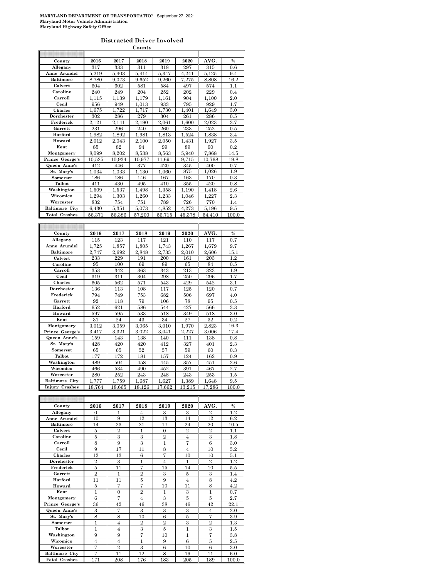**Distracted Driver Involved**

|                       |                |                  | County         |                |                |                |            |
|-----------------------|----------------|------------------|----------------|----------------|----------------|----------------|------------|
|                       |                |                  |                |                |                |                |            |
| County                | 2016           | 2017             | 2018           | 2019           | 2020           | AVG.           | $\%$       |
| Allegany              | 317            | 333              | 311            | 318            | 297            | 315            | 0.6        |
| Anne Arundel          | 5,219          | 5,403            | 5.414          | 5.347          | 4.241          | 5,125          | 9.4        |
| <b>Baltimore</b>      | 8,780          | 9,073            | 9,652          | 9,260          | 7,275          | 8,808          | $^{16.2}$  |
| Calvert               | 604            | 602              | 581            | 584            | 497            | 574            | 1.1        |
| Caroline<br>Carroll   | 240            | 249              | 204<br>1,179   | 252            | 202<br>904     | 229            | 0.4<br>2.0 |
| Cecil                 | 1,115<br>956   | 1,139<br>949     | 1,013          | 1,161<br>933   | 795            | 1,100<br>929   | 1.7        |
| Charles               | 1,675          | 1,722            | 1,717          | 1,730          |                | 1,649          | 3.0        |
| Dorchester            | 302            | 286              | 279            | 304            | 1,401<br>261   | 286            | 0.5        |
| Frederick             | 2,121          | 2,141            | 2,190          | 2.061          | 1,600          | 2,023          | 3.7        |
| Garrett               | 231            | 296              | 240            | 260            | 233            | 252            | 0.5        |
| Harford               | 1,982          | 1,892            | 1.981          | 1,813          | 1.524          | 1,838          | 3.4        |
| Howard                | 2,012          | 2,043            | 2.100          | 2,050          | 1,431          | 1,927          | 3.5        |
| Kent                  | 85             | 82               | 94             | 99             | 89             | 90             | 0.2        |
| Montgomery            | 8,099          | 8,202            | 8,538          | 8,563          | 5,940          | 7,868          | 14.5       |
| Prince George's       | 10,525         | 10,934           | 10,977         | 11,691         | 9,715          | 10,768         | 19.8       |
| Queen Anne's          | 412            | 446              | 377            | 420            | 345            | 400            | 0.7        |
| St. Mary's            | 1,034          | 1,033            | 1,130          | 1,060          | 875            | 1,026          | 1.9        |
| Somerset              | 186            | 186              | 146            | 167            | 163            | 170            | 0.3        |
| <b>Talbot</b>         | 411            | 430              | 495            | 410            | 355            | 420            | 0.8        |
| Washington            | 1,509          | 1.537            | 1,498          | 1,358          | 1,190          | 1.418          | 2.6        |
| Wicomico              | 1.294          | 1.303            | 1.260          | 1.233          | 1,046          | 1,227          | 2.3        |
| Worcester             | 832            | 754              | 751            | 789            | 726            | 770            | 1.4        |
| <b>Baltimore City</b> | 6,430          | 5,351            | 5.073          | 4,852          | 4,273          | 5.196          | 9.5        |
| <b>Total Crashes</b>  | 56,371         | 56,386           | 57,200         | 56,715         | 45,378         | 54,410         | 100.0      |
|                       |                |                  |                |                |                |                |            |
|                       |                |                  |                |                |                |                |            |
| County                | 2016           | 2017             | 2018           | 2019           | 2020           | AVG.           | $\%$       |
| Allegany              | 115            | 123              | 117            | 121            | 110            | 117            | 0.7        |
| Anne Arundel          | 1,725          | 1,857            | 1,805          | 1,743          | 1,267          | 1,679          | 9.7        |
| <b>Baltimore</b>      | 2,747          | 2,692            | 2,848          | 2,735          | 2,010          | 2,606          | 15.1       |
| Calvert               | 233            | 229              | 191            | 200            | 161            | 203            | 1.2        |
| Caroline              | 95             | 100              | 69             | 89             | 65             | 84             | 0.5        |
| Carroll               | 353            | 342              | 363            | 343            | 213            | 323            | 1.9        |
| Cecil                 | 319            | 311              | 304            | 298            | 250            | 296            | 1.7        |
| Charles               | 605            | 562              | 571            | 543            | 429            | 542            | 3.1        |
| Dorchester            | 136            | 113              | 108            | 117            | 125            | 120            | 0.7        |
| Frederick<br>Garrett  | 794<br>92      | 749              | 753<br>79      | 682            | 506<br>78      | 697<br>95      | 4.0        |
| Harford               |                | 118              |                | 106<br>544     | 427            |                | 0.5<br>3.3 |
| Howard                | 652<br>597     | 621<br>595       | 586<br>533     | 518            | 349            | 566<br>518     | 3.0        |
| Kent                  | 31             | 24               | 43             | 34             | 27             | 32             | 0.2        |
| Montgomery            | 3,012          | 3,059            | 3,065          | 3,010          | 1,970          | 2,823          | 16.3       |
| Prince George's       | 3,417          | 3,321            | 3,022          | 3,041          | 2,227          | 3,006          | 17.4       |
| Queen Anne's          | 159            | 143              | 138            | 140            | 111            | 138            | 0.8        |
| St. Mary's            | 428            | 420              | 420            | 412            | 327            | 401            | 2.3        |
| Somerset              | 65             | 65               | 52             | 57             | 59             | 60             | 0.3        |
| <b>Talbot</b>         | 177            | 172              | 181            | 157            | 124            | 162            | 0.9        |
| Washington            | 489            | 504              | 458            | 445            | 357            | 451            | $2.6\,$    |
| Wicomico              | 466            | 534              | 490            | 452            | 391            | 467            | 2.7        |
| Worcester             | 280            | 252              | 243            | 248            | 243            | 253            | $1.5\,$    |
| <b>Baltimore City</b> | 1,777          | 1,759            | 1,687          | 1,627          | 1,389          | 1,648          | $9.5\,$    |
| <b>Injury Crashes</b> | 18,764         | 18,665           | 18,126         | 17,662         | 13,215         | 17,286         | 100.0      |
|                       |                |                  |                |                |                |                |            |
|                       |                |                  |                |                |                |                |            |
| County                | 2016           | 2017             | 2018           | 2019           | 2020           | AVG.           | $\%$       |
| Allegany              | 0              | 1                | $\overline{4}$ | 3              | 3              | $\overline{2}$ | 1.2        |
| Anne Arundel          | 10             | 9                | 12             | 13             | 14             | 12             | $6.2\,$    |
| <b>Baltimore</b>      | 14             | 23               | 21             | 17             | 24             | 20             | 10.5       |
| Calvert               | 5              | 2                | 1              | 0              | $\overline{2}$ | $\overline{2}$ | 1.1        |
| Caroline              | 5              | 3                | $\,3$          | $\overline{2}$ | $\overline{4}$ | 3              | 1.8        |
| Carroll               | 8              | 9                | 3              | 1              | 7              | 6              | $3.0\,$    |
| Cecil                 | 9              | 17               | 11             | 8              | 4              | 10             | $5.2\,$    |
| Charles               | 12             | 13               | 6              | 7              | 10             | 10             | 5.1        |
| Dorchester            | $\overline{2}$ | 3                | 1              | 4              | 1              | $\overline{2}$ | 1.2        |
| Frederick             | 5              | 11               | 7              | 15             | 14             | 10             | 5.5        |
| Garrett               | $\overline{2}$ | 1                | $\overline{2}$ | 3              | 5              | 3              | 1.4        |
| Harford<br>Howard     | 11<br>5        | 11<br>7          | 5<br>7         | 9<br>10        | 4<br>11        | 8<br>8         | 4.2<br>4.2 |
| Kent                  | 1              | $\boldsymbol{0}$ | $\overline{2}$ | 1              | 3              | 1              | 0.7        |
|                       |                |                  |                |                |                |                |            |

**Montgomery** 6 7 4 3 5 5 2.7<br> **Prince George's** 36 42 46 38 46 42 22.1 **Prince George's** 36 42 46 38 46 42 22.1<br> **Queen Anne's** 3 7 3 3 3 4 2.0 **Queen Anne's** 3 7 3 3 3 4 2.0<br> **St. Mary's** 8 8 10 6 5 7 3.9<br> **Somerset** 1 4 2 2 3 2 1.3 **St. Mary's** 8 8 8 10 6 5 7 3.9<br> **Somerset** 1 4 2 2 3 2 1.3 **Somerset** | 1 | 4 | 2 | 2 | 3 | 2 | 1.3 **Talbot** | 1 | 4 | 3 | 5 | 1 || 3 | 1.5 **Washington** 9 9 7 10 1 7 3.8<br>Wicomico 4 4 1 9 6 5 2.5 **Wicomico** 4 4 1 9 6 5 2.5<br> **Worcester** 7 2 3 6 10 6 3.0 **Worcester** 7 2 3 6 10 6 3.0<br> **altimore City** 7 11 12 8 19 11 6.0

**Fatal Crashes** 171 208 176 183 205 189 100.0

**Baltimore** City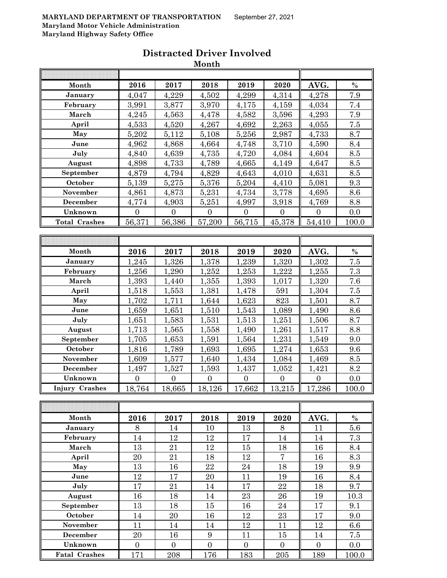|                       |                  |                  | wivilui          |                  |                  |                  |                  |
|-----------------------|------------------|------------------|------------------|------------------|------------------|------------------|------------------|
|                       |                  |                  |                  |                  |                  |                  |                  |
| Month                 | 2016             | 2017             | 2018             | 2019             | 2020             | AVG.             | $\%$             |
| January               | 4,047            | 4,229            | 4,502            | 4,299            | 4,314            | 4,278            | $\overline{7.9}$ |
| February              | 3,991            | 3,877            | 3,970            | 4,175            | 4,159            | 4,034            | 7.4              |
| March                 | 4,245            | 4,563            | 4,478            | 4,582            | 3,596            | 4,293            | 7.9              |
| April                 | 4,533            | 4,520            | 4,267            | 4,692            | 2,263            | 4,055            | $7.5\,$          |
| May                   | 5,202            | 5,112            | 5,108            | 5,256            | 2,987            | 4,733            | 8.7              |
| June                  | 4,962            | 4,868            | 4,664            | 4,748            | 3,710            | 4,590            | 8.4              |
| July                  | 4,840            | 4,639            | 4,735            | 4,720            | 4,084            | 4,604            | $8.5\,$          |
| August                | 4,898            | 4,733            | 4,789            | 4,665            | 4,149            | 4,647            | 8.5              |
| September             | 4,879            | 4,794            | 4,829            | 4,643            | 4,010            | 4,631            | $8.5\,$          |
| October               | 5,139            | 5,275            | 5,376            | 5,204            | 4,410            | 5,081            | 9.3              |
| November              | 4,861            | 4,873            | 5,231            | 4,734            | 3,778            | 4,695            | 8.6              |
| December              | 4,774            | 4,903            | 5,251            | 4,997            | 3,918            | 4,769            | $\!\!\!\!\!8.8$  |
| Unknown               | $\overline{0}$   | $\overline{0}$   | $\overline{0}$   | $\boldsymbol{0}$ | $\overline{0}$   | $\overline{0}$   | 0.0              |
| <b>Total Crashes</b>  | 56,371           | 56,386           | 57,200           | 56,715           | 45,378           | 54,410           | 100.0            |
|                       |                  |                  |                  |                  |                  |                  |                  |
|                       |                  |                  |                  |                  |                  |                  |                  |
| Month                 | 2016             | 2017             | 2018             | 2019             | 2020             | AVG.             | $\%$             |
| January               | 1,245            | 1,326            | 1,378            | 1,239            | 1,320            | 1,302            | 7.5              |
| February              | 1,256            | 1,290            | 1,252            | 1,253            | 1,222            | 1,255            | 7.3              |
| March                 | 1,393            | 1,440            | 1,355            | 1,393            | 1,017            | 1,320            | 7.6              |
| April                 | 1,518            | 1,553            | 1,381            | 1,478            | 591              | 1,304            | 7.5              |
| May                   | 1,702            | 1,711            | 1,644            | 1,623            | 823              | 1,501            | 8.7              |
| June                  | 1,659            | 1,651            | 1,510            | 1,543            | 1,089            | 1,490            | 8.6              |
| July                  | 1,651            | 1,583            | 1,531            | 1,513            | 1,251            | 1,506            | 8.7              |
| August                | 1,713            | 1,565            | 1,558            | 1,490            | 1,261            | 1,517            | 8.8              |
| September             | 1,705            | 1,653            | 1,591            | 1,564            | 1,231            | 1,549            | 9.0              |
| October               | 1,816            | 1,789            | 1,693            | 1,695            | 1,274            | 1,653            | 9.6              |
| November              | 1,609            | 1,577            | 1,640            | 1,434            | 1,084            | 1,469            | $\!\!\!\!\!8.5$  |
| December              | 1,497            | 1,527            | 1,593            | 1,437            | 1,052            | 1,421            | $\!\!\!\!\!8.2$  |
| Unknown               | $\boldsymbol{0}$ | $\overline{0}$   | $\overline{0}$   | $\boldsymbol{0}$ | $\boldsymbol{0}$ | $\boldsymbol{0}$ | 0.0              |
| <b>Injury Crashes</b> | 18,764           | 18,665           | 18,126           | 17,662           | 13,215           | 17,286           | 100.0            |
|                       |                  |                  |                  |                  |                  |                  |                  |
|                       |                  |                  |                  |                  |                  |                  |                  |
| Month                 | 2016             | 2017             | 2018             | 2019             | 2020             | AVG.             | $\%$             |
| January               | 8                | 14               | 10               | 13               | 8                | 11               | 5.6              |
| February              | 14               | 12               | 12               | 17               | 14               | 14               | 7.3              |
| March                 | 13               | 21               | 12               | 15               | 18               | 16               | 8.4              |
| April                 | 20               | 21               | 18               | 12               | $\overline{7}$   | 16               | 8.3              |
| May                   | 13               | 16               | 22               | $\sqrt{24}$      | 18               | 19               | 9.9              |
| June                  | 12               | 17               | 20               | 11               | 19               | 16               | 8.4              |
| July                  | 17               | 21               | 14               | 17               | $\bf{22}$        | 18               | 9.7              |
| August                | 16               | 18               | 14               | 23               | 26               | 19               | 10.3             |
| September             | 13               | 18               | 15               | 16               | 24               | 17               | 9.1              |
| October               | 14               | 20               | 16               | 12               | 23               | 17               | 9.0              |
| November              | 11               | 14               | 14               | 12               | 11               | 12               | 6.6              |
| <b>December</b>       | $20\,$           | 16               | $\boldsymbol{9}$ | 11               | 15               | 14               | 7.5              |
| Unknown               | $\boldsymbol{0}$ | $\boldsymbol{0}$ | $\boldsymbol{0}$ | $\boldsymbol{0}$ | $\boldsymbol{0}$ | $\overline{0}$   | 0.0              |

Fatal Crashes 171 208 176 183 205 189 100.0

# **Distracted Driver Involved**

**Month**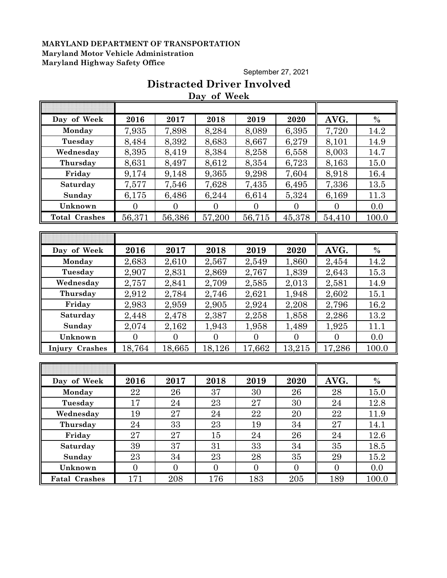September 27, 2021

## **Distracted Driver Involved Day of Week**

| Day of Week           | 2016     | 2017           | 2018     | 2019     | 2020           | AVG.     | $\frac{0}{0}$ |
|-----------------------|----------|----------------|----------|----------|----------------|----------|---------------|
| Monday                | 7,935    | 7,898          | 8,284    | 8,089    | 6,395          | 7,720    | 14.2          |
| Tuesday               | 8,484    | 8,392          | 8,683    | 8,667    | 6,279          | 8,101    | 14.9          |
| Wednesday             | 8,395    | 8,419          | 8,384    | 8,258    | 6,558          | 8,003    | 14.7          |
| Thursday              | 8,631    | 8,497          | 8,612    | 8,354    | 6,723          | 8,163    | 15.0          |
| Friday                | 9,174    | 9,148          | 9,365    | 9,298    | 7,604          | 8,918    | 16.4          |
| Saturday              | 7,577    | 7,546          | 7,628    | 7,435    | 6,495          | 7,336    | 13.5          |
| Sunday                | 6,175    | 6,486          | 6,244    | 6,614    | 5,324          | 6,169    | 11.3          |
| Unknown               | $\theta$ | $\theta$       | $\theta$ | $\theta$ | $\theta$       | $\theta$ | 0.0           |
| <b>Total Crashes</b>  | 56,371   | 56,386         | 57,200   | 56,715   | 45,378         | 54,410   | 100.0         |
|                       |          |                |          |          |                |          |               |
|                       |          |                |          |          |                |          |               |
| Day of Week           | 2016     | 2017           | 2018     | 2019     | 2020           | AVG.     | $\%$          |
| Monday                | 2,683    | 2,610          | 2,567    | 2,549    | 1,860          | 2,454    | 14.2          |
| Tuesday               | 2,907    | 2,831          | 2,869    | 2,767    | 1,839          | 2,643    | 15.3          |
| Wednesday             | 2,757    | 2,841          | 2,709    | 2,585    | 2,013          | 2,581    | 14.9          |
| Thursday              | 2,912    | 2,784          | 2,746    | 2,621    | 1,948          | 2,602    | 15.1          |
| Friday                | 2,983    | 2,959          | 2,905    | 2,924    | 2,208          | 2,796    | 16.2          |
| Saturday              | 2,448    | 2,478          | 2,387    | 2,258    | 1,858          | 2,286    | 13.2          |
| Sunday                | 2,074    | 2,162          | 1,943    | 1,958    | 1,489          | 1,925    | 11.1          |
| Unknown               | $\theta$ | $\overline{0}$ | $\theta$ | $\theta$ | $\overline{0}$ | $\theta$ | 0.0           |
| <b>Injury Crashes</b> | 18,764   | 18,665         | 18,126   | 17,662   | 13,215         | 17,286   | 100.0         |
|                       |          |                |          |          |                |          |               |
|                       |          |                |          |          |                |          |               |
| Day of Week           | 2016     | 2017           | 2018     | 2019     | 2020           | AVG.     | $\%$          |
| Monday                | 22       | 26             | 37       | 30       | 26             | 28       | 15.0          |
| Tuesday               | 17       | 24             | 23       | 27       | 30             | 24       | 12.8          |
| Wednesday             | 19       | 27             | 24       | 22       | 20             | 22       | 11.9          |
| Thursday              | 24       | 33             | 23       | 19       | 34             | 27       | 14.1          |
| Friday                | 27       | 27             | 15       | 24       | 26             | 24       | 12.6          |
| Saturday              | 39       | 37             | 31       | 33       | 34             | 35       | 18.5          |
| Sunday                | 23       | 34             | 23       | 28       | 35             | 29       | 15.2          |

**Unknown** 0 0 0 0 0 0 0.0 **Fatal Crashes** 171 208 176 183 205 189 100.0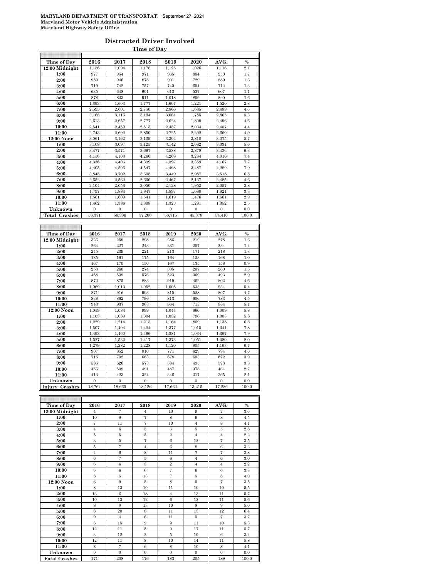#### **Distracted Driver Involved Time of Day**

| Time of Day          | 2016           | 2017         | 2018           | 2019           | 2020         | AVG.           | $\frac{0}{0}$ |
|----------------------|----------------|--------------|----------------|----------------|--------------|----------------|---------------|
| $12:00$ Midnight     | 1,156          | 1,094        | 1,178          | 1,125          | 1,026        | 1,116          | 2.1           |
| 1:00                 | 977            | 954          | 971            | 965            | 884          | 950            | 1.7           |
| 2:00                 | 989            | 946          | 878            | 901            | 729          | 889            | 1.6           |
| 3:00                 | 719            | 742          | 757            | 740            | 604          | 712            | 1.3           |
| 4:00                 | 635            | 648          | 601            | 613            | 537          | 607            | 1.1           |
| 5:00                 | 878            | 833          | 911            | 1,018          | 809          | 890            | 1.6           |
| 6:00                 | 1,393          | 1,603        | 1,777          | 1,607          | 1,221        | 1,520          | 2.8           |
| 7:00                 | 2,595          | 2,601        | 2,750          | 2,866          | 1,635        | 2,489          | 4.6           |
| 8:00                 | 3,168          | 3,116        | 3,194          | 3,061          | 1,785        | 2,865          | 5.3           |
| 9:00                 | 2,613          | 2.657        | 2,777          | 2.624          | 1,809        | 2,496          | 4.6           |
| 10:00                | 2,541          | 2,459        | 2,513          | 2,487          | 2,034        | 2,407          | 4.4           |
| 11:00                | 2.743          | 2.692        | 2.850          | 2.725          | 2.292        | 2.660          | 4.9           |
| 12:00 Noon           | 3,061          | 3,162        | 3,139          | 3,204          | 2,810        | 3,075          | 5.7           |
| 1:00                 | 3,108          | 3,097        | 3,125          | 3,142          | 2,682        | 3,031          | 5.6           |
| 2:00                 | 3,477          | 3,571        | 3,667          | 3,588          | 2,878        | 3,436          | 6.3           |
| 3:00                 | 4,156          | 4,103        | 4,266          | 4,269          | 3,284        | 4,016          | 7.4           |
| 4:00                 | 4,336          | 4,406        | 4,339          | 4,397          | 3,359        | 4,167          | 7.7           |
| 5:00                 | 4,405          | 4,506        | 4,547          | 4,498          | 3,487        | 4,289          | 7.9           |
| 6:00                 | 3,845          | 3,702        | 3,608          | 3,449          | 2,987        | 3,518          | 6.5           |
| 7:00                 | 2,652          | 2,562        | 2,606          | 2,467          | 2,137        | 2,485          | 4.6           |
| 8:00                 | 2,104          | 2,053        | 2,050          | 2,128          | 1,952        | 2,057          | 3.8           |
| 9:00                 | 1,797          | 1,884        | 1,847          | 1,897          | 1,680        | 1,821          | 3.3           |
| 10:00                | 1.561          | 1.609        | 1.541          | 1,619          | 1,476        | 1,561          | 2.9           |
| 11:00                | 1,462          | 1,386        | 1,308          | 1,325          | 1,281        | 1,352          | 2.5           |
| Unknown              | $\overline{0}$ | $\mathbf{0}$ | $\overline{0}$ | $\overline{0}$ | $\mathbf{0}$ | $\overline{0}$ | 0.0           |
| <b>Total Crashes</b> | 56,371         | 56,386       | 57,200         | 56,715         | 45,378       | 54,410         | 100.0         |
|                      |                |              |                |                |              |                |               |
|                      |                |              |                |                |              |                |               |
|                      |                |              |                |                |              |                |               |
| Time of Day          | 2016           | 2017         | 2018           | 2019           | 2020         | AVG.           | $\%$          |
| 12:00 Midnight       | 326            | 259          | 298            | 286            | 219          | 278            | 1.6           |
| 1:00                 | 264            | 227          | 243            | 231            | 207          | 234            | 1.4           |
| 2:00                 | 245            | 239          | 221            | 213            | 171          | 218            | 1.3           |
| 3:00                 | 185            | 191          | 175            | 164            | 123          | 168            | 1.0           |
| 4:00                 | 167            | 170          | 150            | 167            | 135          | 158            | 0.9           |
| 5:00                 | 253            | 260          | 274            | 305            | 207          | 260            | 1.5           |
| 6:00                 | 458            | 539          | 576            | 523            | 369          | 493            | 2.9           |
| 7:00                 | 872            | 875          | 883            | 919            | 462          | 802            | 4.6           |
| 8:00                 | 1.069          | 1.013        | 1.052          | 1.005          | 533          | 934            | 5.4           |
| 9:00                 | 871            | 916          | 903            | 815            | 528          | 807            | 4.7           |
| 10:00                | 838            | 862          | 796            | 813            | 606          | 783            | 4.5           |
| 11:00                | 943            | 937          | 963            | 864            | 713          | 884            | 5.1           |
| 12:00 Noon           | 1,059          | 1,084        | 999            | 1,044          | 860          | 1,009          | 5.8           |
| 1:00                 | 1,103          | 1,089        | 1,004          | 1,032          | 786          | 1,003          | 5.8           |
| 2:00                 | 1,229          | 1,214        | 1,213          | 1,164          | 869          | 1,138          | 6.6           |
| 3:00                 | 1,507          | 1,404        | 1,404          | 1,377          | 1,015        | 1,341          | 7.8           |
| 4:00                 | 1,493          | 1,460        | 1,466          | 1,381          | 1,034        | 1,367          | 7.9           |
| 5:00                 | 1,527          | 1,532        | 1,417          | 1,373          | 1,051        | 1,380          | 8.0           |
| 6:00                 | 1,279          | 1.282        | 1.228          | 1.120          | 905          | 1,163          | 6.7           |
| 7:00                 | 907            | 852          | 810            | 771            | 629          | 794            | 4.6           |
| 8:00                 | 715            | 702          | 663            | 678            | 603          | 672            | 3.9           |
| 9:00                 | 585            | 626          | 573            | 584            | 495          | 573            | 3.3           |
| 10:00                | 456            | 509          | 491            | 487            | 378          | 464            | 2.7           |
| 11:00                | 413            | 423          | 324            | 346            | 317          | 365            | 2.1           |
| Unknown              | $\Omega$       | $\Omega$     | $\Omega$       | $\Omega$       | $\Omega$     | $\Omega$       | 0.0           |
| Injury Crashes       | 18,764         | 18,665       | 18,126         | 17,662         | 13,215       | 17,286         | 100.0         |

| Time of Day          | 2016           | 2017           | 2018           | 2019           | 2020           | AVG.           | $\%$  |
|----------------------|----------------|----------------|----------------|----------------|----------------|----------------|-------|
| $12:00$ Midnight     | $\overline{4}$ | 7              | $\overline{4}$ | 10             | 9              | 7              | 3.6   |
| 1:00                 | 10             | 8              | $\overline{7}$ | 8              | 9              | 8              | 4.5   |
| 2:00                 | 7              | 11             | $\overline{7}$ | 10             | $\overline{4}$ | 8              | 4.1   |
| 3:00                 | $\overline{4}$ | 6              | 5              | 6              | 5              | 5              | 2.8   |
| 4:00                 | 5              | 5              | 5              | $\overline{2}$ | $\overline{4}$ | $\overline{4}$ | 2.2   |
| 5:00                 | 3              | 5              | 7              | 6              | 12             | 7              | 3.5   |
| 6:00                 | 5              | 7              | $\overline{4}$ | 6              | 8              | 6              | 3.2   |
| 7:00                 | $\overline{4}$ | 6              | 8              | 11             | 7              | $\overline{7}$ | 3.8   |
| 8:00                 | 6              | $\overline{7}$ | 5              | 6              | $\overline{4}$ | 6              | 3.0   |
| 9:00                 | 6              | 6              | 3              | $\overline{2}$ | $\overline{4}$ | $\overline{4}$ | 2.2   |
| 10:00                | 6              | 6              | 6              | $\overline{7}$ | 6              | 6              | 3.3   |
| 11:00                | 8              | 5              | 13             | $\overline{7}$ | 5              | 8              | 4.0   |
| 12:00 Noon           | 6              | 9              | 5              | 8              | 5              | $\overline{7}$ | 3.5   |
| 1:00                 | 8              | 13             | 10             | 11             | 10             | 10             | 5.5   |
| 2:00                 | 13             | 6              | 18             | $\overline{4}$ | 13             | 11             | 5.7   |
| 3:00                 | 10             | 13             | 12             | 6              | 12             | 11             | 5.6   |
| 4:00                 | 8              | 8              | 13             | 10             | 8              | 9              | 5.0   |
| 5:00                 | 8              | 20             | 8              | 11             | 13             | 12             | 6.4   |
| 6:00                 | 9              | $\overline{4}$ | 6              | 11             | 5              | $\overline{7}$ | 3.7   |
| 7:00                 | 6              | 15             | 9              | 9              | 11             | 10             | 5.3   |
| 8:00                 | 12             | 11             | 5              | 9              | 17             | 11             | 5.7   |
| 9:00                 | 3              | 12             | $\overline{2}$ | 5              | 10             | 6              | 3.4   |
| 10:00                | 12             | 11             | 8              | 10             | 14             | 11             | 5.8   |
| 11:00                | 8              | $\overline{7}$ | 6              | 8              | 10             | 8              | 4.1   |
| Unknown              | $\theta$       | $\Omega$       | $\Omega$       | $\Omega$       | $\Omega$       | $\Omega$       | 0.0   |
| <b>Fatal Crashes</b> | 171            | 208            | 176            | 183            | 205            | 189            | 100.0 |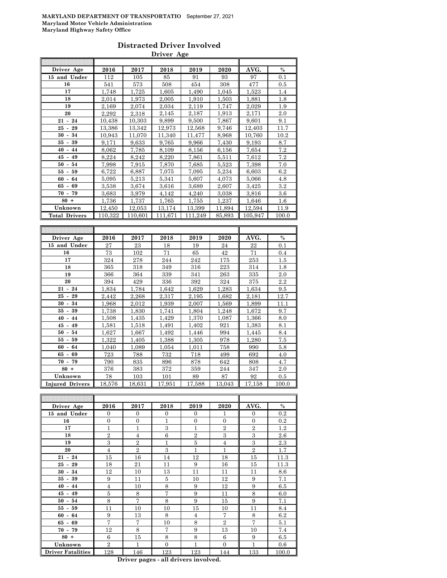#### **Distracted Driver Involved Driver Age**

| Driver Age           | 2016         | 2017    | 2018    | 2019         | 2020   | AVG.    | $\%$             |
|----------------------|--------------|---------|---------|--------------|--------|---------|------------------|
| 15 and Under         | 112          | 105     | 85      | 91           | 93     | 97      | 0.1              |
| 16                   | 541          | 573     | 508     | 454          | 308    | 477     | $0.5\,$          |
| 17                   | 1.748        | 1,725   | 1.605   | 1.490        | 1.045  | 1,523   | 1.4              |
| 18                   | 2,014        | 1,973   | 2.005   | 1.910        | 1,503  | 1,881   | 1.8              |
| 19                   | 2,169        | 2,074   | 2,034   | 2,119        | 1,747  | 2,029   | 1.9              |
| 20                   | 2,292        | 2,318   | 2,145   | 2,187        | 1,913  | 2,171   | $2.\overline{0}$ |
| $21 - 24$            | 10,438       | 10,303  | 9,899   | 9,500        | 7,867  | 9.601   | 9.1              |
| $25 - 29$            | 13,386       | 13.342  | 12.973  | 12,568       | 9,746  | 12.403  | 11.7             |
| $30 - 34$            | 10,943       | 11,070  | 11,340  | 11,477       | 8.968  | 10,760  | 10.2             |
| $35 - 39$            | 9,171        | 9,633   | 9.765   | 9,966        | 7,430  | 9,193   | 8.7              |
| $40 - 44$            | 8.062        | 7,785   | 8.109   | 8,156        | 6,156  | 7,654   | 7.2              |
| 45<br>$-49$          | 8.224        | 8,242   | 8,220   | 7.861        | 5,511  | 7.612   | 7.2              |
| $50 -$<br>54         | 7,998        | 7,915   | 7,870   | 7,685        | 5,523  | 7,398   | 7.0              |
| $55 - 59$            | 6,722        | 6,887   | 7.075   | 7.095        | 5.234  | 6,603   | 6.2              |
| $60 -$<br>64         | 5,095        | 5.213   | 5.341   | 5,607        | 4,073  | 5,066   | 4.8              |
| $65 - 69$            | 3,538        | 3,674   | 3,616   | 3,689        | 2,607  | 3,425   | 3.2              |
| $70 - 79$            | 3,683        | 3,979   | 4.142   | 4,240        | 3,038  | 3,816   | 3.6              |
| $80 +$               | 1,736        | 1,737   | 1,765   | 1,755        | 1,237  | 1,646   | $1.6\,$          |
| Unknown              | 12,450       | 12,053  | 13,174  | 13,399       | 11,894 | 12,594  | 11.9             |
| <b>Total Drivers</b> | 110,322      | 110,601 | 111,671 | 111,249      | 85,893 | 105,947 | 100.0            |
|                      |              |         |         |              |        |         |                  |
|                      |              |         |         |              |        |         |                  |
| Driver Age           | 2016         | 2017    | 2018    | 2019         | 2020   | AVG.    | $\%$             |
| 15 and Under         | 27           | 23      | 18      | 19           | 24     | 22      | 0.1              |
| 16                   | 73           | 102     | 71      | 65           | 42     | 71      | 0.4              |
| 17                   | 324          | 278     | 244     | 242          | 175    | 253     | 1.5              |
| 18                   | 365          | 318     | 349     | 316          | 223    | 314     | 1.8              |
| 19                   | 366          | 364     | 339     | 341          | 263    | 335     | 2.0              |
| 20                   | 394          | 429     | 336     | 392          | 324    | 375     | 2.2              |
| $21 - 24$            | 1,834        | 1,784   | 1,642   | 1,629        | 1,283  | 1,634   | $\ \, 9.5$       |
| $25 - 29$            | 2,442        | 2,268   | 2,317   | 2,195        | 1,682  | 2,181   | 12.7             |
| $30 - 34$            | 1,968        | 2.012   | 1,939   | 2.007        | 1,569  | 1,899   | 11.1             |
| $35 - 39$            | 1,738        | 1,830   | 1,741   | 1,804        | 1,248  | 1,672   | 9.7              |
| $40 - 44$            | 1,508        | 1,435   | 1,429   | 1,370        | 1,087  | 1,366   | 8.0              |
| 45<br>$-49$          | 1,581        | 1,518   | 1,491   | 1,402        | 921    | 1,383   | 8.1              |
| $50 -$<br>54         | 1,627        | 1,667   | 1,492   | 1,446        | 994    | 1,445   | 8.4              |
| $55 - 59$            | 1,322        | 1,405   | 1,388   | 1,305        | 978    | 1,280   | 7.5              |
| $60 -$<br>64         | 1,040        | 1,089   | 1,054   | 1,011        | 758    | 990     | 5.8              |
| $65 - 69$            | 723          | 788     | 732     | 718          | 499    | 692     | 4.0              |
| $70 - 79$            |              |         |         |              |        | 808     | 4.7              |
|                      | 790          | 835     | 896     | 878          | 642    |         |                  |
| $80 +$               | 376          | 383     | 372     | 359          | 244    | 347     | 2.0              |
| Unknown              | 78<br>18,576 | 103     | 101     | 89<br>17,588 | 87     | 92      | 0.5              |

| Driver Age               | 2016           | 2017           | 2018         | 2019           | 2020           | AVG.           | $\%$  |
|--------------------------|----------------|----------------|--------------|----------------|----------------|----------------|-------|
| 15 and Under             | $\Omega$       | $\Omega$       | $\Omega$     | $\Omega$       | 1              | $\Omega$       | 0.2   |
| 16                       | $\mathbf{0}$   | $\overline{0}$ | $\mathbf{1}$ | $\overline{0}$ | $\overline{0}$ | $\overline{0}$ | 0.2   |
| 17                       | 1              | 1              | 3            | 1              | $\overline{2}$ | $\overline{2}$ | 1.2   |
| 18                       | $\overline{2}$ | $\overline{4}$ | 6            | $\overline{2}$ | 3              | 3              | 2.6   |
| 19                       | 3              | $\overline{2}$ | 1            | 5              | $\overline{4}$ | 3              | 2.3   |
| 20                       | $\overline{4}$ | $\overline{2}$ | 3            | 1              | 1              | $\overline{2}$ | 1.7   |
| $21 - 24$                | 15             | 16             | 14           | 12             | 18             | 15             | 11.3  |
| $25 - 29$                | 18             | 21             | 11           | 9              | 16             | 15             | 11.3  |
| $30 - 34$                | 12             | 10             | 13           | 11             | 11             | 11             | 8.6   |
| $35 - 39$                | 9              | 11             | 5            | 10             | 12             | 9              | 7.1   |
| $40 - 44$                | $\overline{4}$ | 10             | 8            | 9              | 12             | 9              | 6.5   |
| $45 - 49$                | 5              | 8              | 7            | 9              | 11             | 8              | 6.0   |
| $50 - 54$                | 8              | $\overline{7}$ | 8            | 9              | 15             | 9              | 7.1   |
| $55 - 59$                | 11             | 10             | 10           | 15             | 10             | 11             | 8.4   |
| $60 - 64$                | 9              | 13             | 8            | $\overline{4}$ | 7              | 8              | 6.2   |
| $65 - 69$                | 7              | 7              | 10           | 8              | $\overline{2}$ | 7              | 5.1   |
| $70 - 79$                | 12             | 8              | 7            | 9              | 13             | 10             | 7.4   |
| $80 +$                   | 6              | 15             | 8            | 8              | 6              | 9              | 6.5   |
| Unknown                  | $\overline{2}$ | 1              | $\theta$     | 1              | $\overline{0}$ | 1              | 0.6   |
| <b>Driver Fatalities</b> | 128            | 146            | 123          | 123            | 144            | 133            | 100.0 |

**Driver pages - all drivers involved.**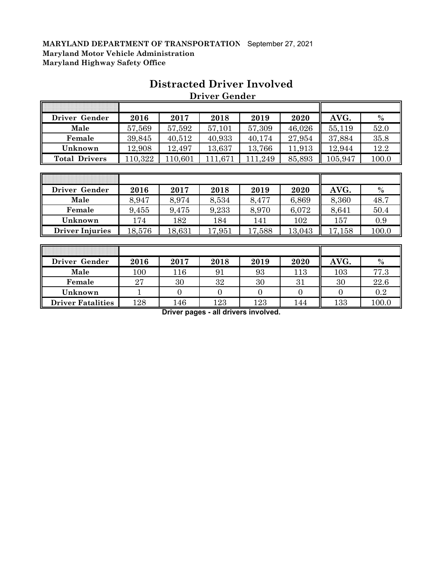| Driver Gender        | 2016    | 2017    | 2018    | 2019    | 2020   | AVG.    | $\%$  |
|----------------------|---------|---------|---------|---------|--------|---------|-------|
| Male                 | 57,569  | 57,592  | 57,101  | 57,309  | 46,026 | 55,119  | 52.0  |
| Female               | 39,845  | 40,512  | 40,933  | 40,174  | 27,954 | 37,884  | 35.8  |
| Unknown              | 12,908  | 12,497  | 13,637  | 13,766  | 11,913 | 12,944  | 12.2  |
| <b>Total Drivers</b> | 110,322 | 110,601 | 111,671 | 111,249 | 85,893 | 105,947 | 100.0 |
|                      |         |         |         |         |        |         |       |
|                      |         |         |         |         |        |         |       |
| Driver Gender        | 2016    | 2017    | 2018    | 2019    | 2020   | AVG.    | $\%$  |
| Male                 | 8,947   | 8,974   | 8,534   | 8,477   | 6,869  | 8,360   | 48.7  |
| Female               | 9,455   | 9,475   | 9,233   | 8,970   | 6,072  | 8,641   | 50.4  |

# **Distracted Driver Involved Driver Gender**

| Driver Gender            | 2016 | 2017 | 2018    | 2019 | 2020 | AVG. | $\%$  |
|--------------------------|------|------|---------|------|------|------|-------|
| Male                     | 100  | 116  | 91      | 93   | 113  | 103  | 77.3  |
| Female                   | 27   | 30   | 32      | 30   | 31   | 30   | 22.6  |
| Unknown                  |      |      |         |      |      |      | 0.2   |
| <b>Driver Fatalities</b> | 128  | 146  | $123\,$ | 123  | l 44 | 133  | 100.0 |

**Unknown** 174 182 184 141 102 157 0.9 **Driver Injuries** 18,576 18,631 17,951 17,588 13,043 17,158 100.0

**Driver pages - all drivers involved.**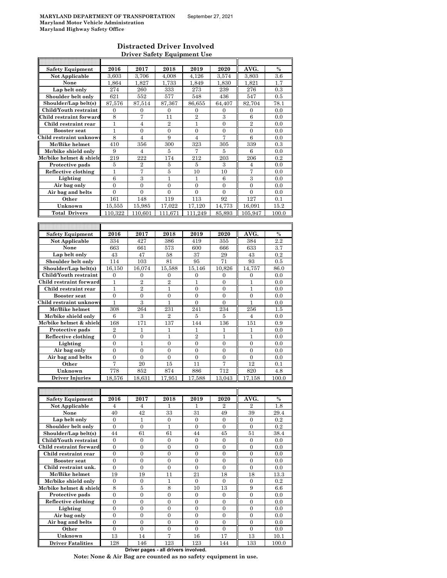### **Distracted Driver Involved Driver Safety Equipment Use**

| <b>Safety Equipment</b>                        | 2016                                 | 2017                                 | 2018                  | 2019             | 2020                             | AVG.                                 | %              |
|------------------------------------------------|--------------------------------------|--------------------------------------|-----------------------|------------------|----------------------------------|--------------------------------------|----------------|
| <b>Not Applicable</b>                          | 3,603                                | 3,706                                | 4,008                 | 4,126            | 3,574                            | 3,803                                | 3.6            |
| None                                           | 1,864                                | 1,827                                | 1,733                 | 1,849            | 1,830                            | 1,821                                | 1.7            |
| Lap belt only                                  | 274                                  | 260                                  | 333                   | 273              | 239                              | 276                                  | 0.3            |
| Shoulder belt only                             | 621                                  | 552                                  | 577                   | 548              | 436                              | 547                                  | 0.5            |
| Shoulder/Lap belt(s)                           | 87,576                               | 87,514                               | 87.367                | 86,655           | 64,407                           | 82,704                               | 78.1           |
| Child/Youth restraint                          | $\mathbf{0}$                         | $\mathbf{0}$                         | $\overline{0}$        | 0                | $\mathbf{0}$                     | $\overline{0}$                       | 0.0            |
| Child restraint forward                        | 8                                    | 7                                    | 11                    | $\overline{2}$   | 3                                | 6                                    | 0.0            |
| Child restraint rear                           | 1                                    | $\overline{4}$                       | $\overline{2}$        | 1                | $\overline{0}$                   | $\overline{2}$                       | 0.0            |
| <b>Booster seat</b>                            | 1                                    | $\mathbf{0}$                         | 0                     | $\overline{0}$   | $\overline{0}$                   | $\overline{0}$                       | 0.0            |
| Child restraint unknow                         | 8                                    | $\overline{4}$                       | 9                     | 4                | 7                                | 6                                    | 0.0            |
| Mc/Bike helmet                                 | 410                                  | 356                                  | 300                   | 323              | 305                              | 339                                  | 0.3            |
| Mc/bike shield only<br>Mc/bike helmet & shield | 9<br>219                             | $\overline{4}$<br>222                | 5<br>174              | 7<br>212         | 5<br>203                         | 6<br>206                             | 0.0<br>0.2     |
| Protective pads                                | 5                                    | $\overline{2}$                       | 5                     | 5                | 3                                | 4                                    | 0.0            |
| Reflective clothing                            | $\mathbf{1}$                         | 7                                    | $\overline{5}$        | 10               | 10                               | 7                                    | 0.0            |
| Lighting                                       | 6                                    | 3                                    | 1                     | 1                | 6                                | 3                                    | 0.0            |
| Air bag only                                   | $\overline{0}$                       | $\overline{0}$                       | $\overline{0}$        | $\overline{0}$   | $\theta$                         | $\theta$                             | 0.0            |
| Air bag and belts                              | $\overline{0}$                       | $\mathbf{0}$                         | $\overline{0}$        | $\overline{0}$   | $\mathbf{0}$                     | $\overline{0}$                       | 0.0            |
| Other                                          | 161                                  | 148                                  | 119                   | 113              | 92                               | 127                                  | 0.1            |
| Unknown                                        | 15,555                               | 15,985                               | 17,022                | 17,120           | 14,773                           | 16.091                               | 15.2           |
| <b>Total Drivers</b>                           | 110,322                              | 110.601                              | 111,671               | 111,249          | 85,893                           | 105,947                              | 100.0          |
|                                                |                                      |                                      |                       |                  |                                  |                                      |                |
|                                                |                                      |                                      |                       |                  |                                  |                                      |                |
| <b>Safety Equipment</b>                        | 2016                                 | 2017                                 | 2018                  | 2019             | 2020                             | AVG.                                 | $\frac{0}{0}$  |
| <b>Not Applicable</b>                          | 334                                  | 427                                  | 386                   | 419              | 355                              | 384                                  | 2.2            |
| None                                           | 663                                  | 661                                  | 573                   | 600              | 666                              | 633                                  | 3.7            |
| Lap belt only                                  | 43                                   | 47                                   | 58                    | 37               | 29                               | 43                                   | 0.2            |
| Shoulder belt only                             | 114                                  | 103                                  | 81                    | 95               | 71                               | 93                                   | 0.5            |
| Shoulder/Lap belt(s)                           | 16,150                               | 16.074                               | 15.588                | 15.146           | 10,826                           | 14,757                               | 86.0           |
| Child/Youth restraint                          | $\mathbf{0}$                         | $\boldsymbol{0}$                     | 0                     | $\mathbf{0}$     | $\mathbf{0}$                     | $\boldsymbol{0}$                     | 0.0            |
| Child restraint forward                        | 1                                    | $\overline{2}$                       | $\overline{2}$        | 1                | $\mathbf{0}$                     | 1                                    | 0.0            |
| Child restraint rear                           | $\mathbf{1}$                         | $\overline{2}$                       | $\mathbf{1}$          | $\overline{0}$   | $\theta$                         | $\mathbf{1}$                         | 0.0            |
| <b>Booster</b> seat                            | $\boldsymbol{0}$                     | $\mathbf{0}$                         | 0                     | $\overline{0}$   | $\overline{0}$                   | 0                                    | 0.0            |
| Child restraint unknow                         | 1                                    | 3                                    | 1                     | $\overline{0}$   | $\overline{0}$                   | 1                                    | 0.0            |
| Mc/Bike helmet<br>Mc/bike shield only          | 308<br>6                             | 264<br>3                             | 231<br>$\overline{2}$ | 241<br>5         | 234<br>5                         | 256<br>$\overline{4}$                | $1.5\,$<br>0.0 |
| Mc/bike helmet & shield                        | 168                                  | 171                                  | 137                   | 144              | 136                              | 151                                  | 0.9            |
| Protective pads                                | $\overline{2}$                       | 1                                    | 1                     | 1                | 1                                | 1                                    | 0.0            |
| Reflective clothing                            | $\boldsymbol{0}$                     | $\boldsymbol{0}$                     | 1                     | $\overline{2}$   | 1                                | 1                                    | 0.0            |
| Lighting                                       | $\mathbf{0}$                         | 1                                    | $\overline{0}$        | $\Omega$         | $\Omega$                         | $\theta$                             | 0.0            |
| Air bag only                                   | $\mathbf{0}$                         | $\overline{0}$                       | $\overline{0}$        | $\overline{0}$   | $\overline{0}$                   | $\overline{0}$                       | 0.0            |
| Air bag and belts                              | $\boldsymbol{0}$                     | $\mathbf{0}$                         | $\overline{0}$        | $\overline{0}$   | $\overline{0}$                   | $\overline{0}$                       | 0.0            |
| Other                                          | 7                                    | 20                                   | 15                    |                  |                                  |                                      |                |
| Unknown                                        |                                      |                                      |                       | 11               | 7                                | 12                                   |                |
|                                                |                                      |                                      |                       |                  |                                  |                                      | 0.1            |
| <b>Driver Injuries</b>                         | 778<br>18.576                        | 852<br>18,631                        | 874<br>17,951         | 886<br>17,588    | 712<br>13,043                    | 820<br>17.158                        | 4.8<br>100.0   |
|                                                |                                      |                                      |                       |                  |                                  |                                      |                |
|                                                |                                      |                                      |                       |                  |                                  |                                      |                |
| <b>Safety Equipment</b>                        | 2016                                 | 2017                                 | 2018                  | 2019             | 2020                             | AVG.                                 | $\%$           |
| Not Applicable                                 | 4                                    | 4                                    |                       | 1                | 2                                | 2                                    | 1.8            |
| None                                           | 40                                   | 42                                   | 33                    | 31               | 49                               | 39                                   | 29.4           |
| Lap belt only                                  | $\mathbf{0}$                         | 1                                    | 0                     | $\boldsymbol{0}$ | $\mathbf{0}$                     | $\mathbf{0}$                         | $0.2\,$        |
| Shoulder belt only                             | $\overline{0}$                       | $\mathbf{0}$                         | 1                     | $\mathbf{0}$     | $\mathbf{0}$                     | $\mathbf{0}$                         | 0.2            |
| Shoulder/Lap belt(s)                           | 44                                   | 61                                   | 61                    | 44               | 45                               | 51                                   | 38.4           |
| Child/Youth restraint                          | $\boldsymbol{0}$                     | $\boldsymbol{0}$                     | 0                     | 0                | $\boldsymbol{0}$                 | $\boldsymbol{0}$                     | 0.0            |
| Child restraint forward                        | $\boldsymbol{0}$                     | $\boldsymbol{0}$                     | 0                     | $\boldsymbol{0}$ | $\boldsymbol{0}$                 | $\boldsymbol{0}$                     | 0.0            |
| Child restraint rear                           | 0                                    | $\boldsymbol{0}$                     | 0                     | 0                | $\boldsymbol{0}$                 | $\mathbf{0}$                         | 0.0            |
| <b>Booster seat</b>                            | $\mathbf{0}$                         | $\overline{0}$                       | $\mathbf{0}$          | $\boldsymbol{0}$ | $\overline{0}$                   | $\overline{0}$                       | 0.0            |
| Child restraint unk.                           | $\mathbf{0}$                         | $\mathbf{0}$                         | 0                     | 0                | $\mathbf{0}$                     | $\mathbf{0}$                         | 0.0            |
| Mc/Bike helmet                                 | 19                                   | 19                                   | 11                    | 21               | 18                               | 18                                   | 13.3           |
| Mc/bike shield only                            | $\mathbf{0}$                         | $\mathbf{0}$                         | 1                     | $\boldsymbol{0}$ | $\boldsymbol{0}$                 | $\mathbf{0}$                         | 0.2            |
| Mc/bike helmet & shield                        | 8                                    | 5                                    | $\overline{8}$        | 10               | 13                               | 9                                    | 6.6            |
| Protective pads                                | $\boldsymbol{0}$                     | $\boldsymbol{0}$                     | 0                     | 0                | $\overline{0}$                   | $\overline{0}$                       | 0.0            |
| Reflective clothing                            | $\boldsymbol{0}$                     | $\boldsymbol{0}$                     | $\overline{0}$        | $\overline{0}$   | $\overline{0}$                   | $\overline{0}$                       | 0.0            |
| Lighting                                       | $\boldsymbol{0}$<br>$\boldsymbol{0}$ | $\boldsymbol{0}$<br>$\boldsymbol{0}$ | 0<br>$\boldsymbol{0}$ | 0<br>0           | $\boldsymbol{0}$<br>$\mathbf{0}$ | $\boldsymbol{0}$<br>$\boldsymbol{0}$ | 0.0            |
| Air bag only                                   | $\mathbf{0}$                         | $\boldsymbol{0}$                     | $\overline{0}$        | $\boldsymbol{0}$ | $\overline{0}$                   | $\overline{0}$                       | 0.0<br>0.0     |
| Air bag and belts<br>Other                     | $\boldsymbol{0}$                     | 0                                    | 0                     | 0                | $\mathbf{0}$                     | $\mathbf{0}$                         | 0.0            |
| Unknown                                        | 13                                   | 14                                   | $\overline{7}$        | 16               | 17                               | 13                                   | 10.1           |

**Driver pages - all drivers involved.**

**Note: None & Air Bag are counted as no safety equipment in use.**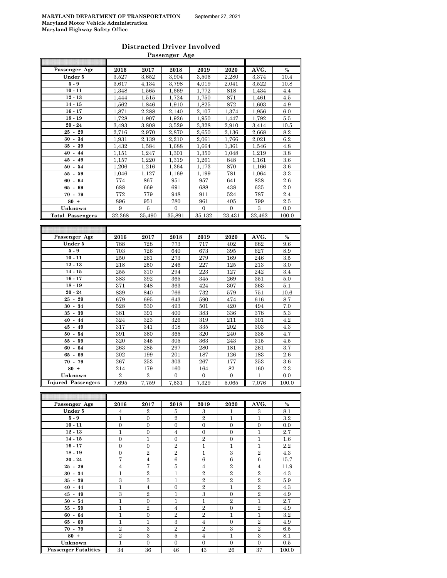#### **Distracted Driver Involved Passenger Age**

| Passenger Age             | 2016           | 2017           | 2018     | 2019     | 2020     | AVG.   | $\frac{0}{0}$ |
|---------------------------|----------------|----------------|----------|----------|----------|--------|---------------|
| Under 5                   | 3.527          | 3.652          | 3.904    | 3.506    | 2.280    | 3.374  | 10.4          |
| $5-9$                     | 3,617          | 4,134          | 3,798    | 4,019    | 2,041    | 3,522  | 10.8          |
| $10 - 11$                 | 1,348          | 1,565          | 1,669    | 1,772    | 818      | 1,434  | 4.4           |
| $12 - 13$                 | 1,444          | 1,515          | 1,724    | 1,750    | 871      | 1,461  | 4.5           |
| $14 - 15$                 | 1,562          | 1,846          | 1,910    | 1,825    | 872      | 1,603  | 4.9           |
| $16 - 17$                 | 1,871          | 2,288          | 2,140    | 2,107    | 1,374    | 1,956  | 6.0           |
| $18 - 19$                 | 1,728          | 1,907          | 1,926    | 1,950    | 1,447    | 1,792  | 5.5           |
| $20 - 24$                 | 3,493          | 3,808          | 3,529    | 3,328    | 2,910    | 3,414  | 10.5          |
| 29<br>$25 -$              | 2,716          | 2,970          | 2,870    | 2,650    | 2,136    | 2,668  | 8.2           |
| $30 - 34$                 | 1.931          | 2.139          | 2.210    | 2.061    | 1.766    | 2.021  | 6.2           |
| $35 - 39$                 | 1,432          | 1,584          | 1,688    | 1,664    | 1,361    | 1,546  | 4.8           |
| $40 - 44$                 | 1,151          | 1,247          | 1,301    | 1,350    | 1,048    | 1,219  | 3.8           |
| $45 - 49$                 | 1,157          | 1,220          | 1,319    | 1,261    | 848      | 1,161  | 3.6           |
| $50 -$<br>54              | 1,206          | 1,216          | 1,364    | 1,173    | 870      | 1,166  | 3.6           |
| $55 - 59$                 | 1,046          | 1,127          | 1,169    | 1,199    | 781      | 1,064  | 3.3           |
| $60 -$<br>64              | 774            | 867            | 951      | 957      | 641      | 838    | 2.6           |
| $65 -$<br>69              | 688            | 669            | 691      | 688      | 438      | 635    | 2.0           |
| $70 -$<br>79              | 772            | 779            | 948      | 911      | 524      | 787    | 2.4           |
| $80 +$                    | 896            | 951            | 780      | 961      | 405      | 799    | $2.5\,$       |
| Unknown                   | 9              | 6              | $\Omega$ | $\theta$ | $\Omega$ | 3      | 0.0           |
| <b>Total Passengers</b>   | 32,368         | 35,490         | 35,891   | 35,132   | 23,431   | 32,462 | 100.0         |
|                           |                |                |          |          |          |        |               |
|                           |                |                |          |          |          |        |               |
| Passenger Age             | 2016           | 2017           | 2018     | 2019     | 2020     | AVG.   | $\frac{0}{0}$ |
| Under 5                   | 788            | 728            | 773      | 717      | 402      | 682    | 9.6           |
| $5 - 9$                   | 703            | 726            | 640      | 673      | 395      | 627    | 8.9           |
| $10 - 11$                 | 250            | 261            | 273      | 279      | 169      | 246    | 3.5           |
| $12 - 13$                 | 218            | 250            | 246      | 227      | 125      | 213    | 3.0           |
| $14 - 15$                 | 255            | 310            | 294      | 223      | 127      | 242    | 3.4           |
| $16 - 17$                 | 383            | 392            | 365      | 345      | 269      | 351    | 5.0           |
| $18 - 19$                 | 371            | 348            | 363      | 424      | 307      | 363    | 5.1           |
| $20 - 24$                 | 839            | 840            | 766      | 732      | 579      | 751    | 10.6          |
| $25 -$<br>29              | 679            | 695            | 643      | 590      | 474      | 616    | 8.7           |
| $30 - 34$                 | 528            | 530            | 493      | 501      | 420      | 494    | 7.0           |
| $35 -$<br>39              | 381            | 391            | 400      | 383      | 336      | 378    | 5.3           |
| $40 - 44$                 | 324            | 323            | 326      | 319      | 211      | 301    | 4.2           |
| $45 - 49$                 | 317            | 341            | 318      | 335      | 202      | 303    | 4.3           |
| $50 -$<br>54              | 391            | 360            | 365      | 320      | 240      | 335    | 4.7           |
| 59<br>$55-$               | 320            | 345            | 305      | 363      | 243      | 315    | 4.5           |
| $60 -$<br>64              | 263            | 285            | 297      | 280      | 181      | 261    | 3.7           |
| $65 -$<br>69              | 202            | 199            | 201      | 187      | 126      | 183    | 2.6           |
| $70 - 79$                 | 267            | 253            | 303      | 267      | 177      | 253    | $3.6\,$       |
| $80 +$                    | 214            | 179            | 160      | 164      | 82       | 160    | 2.3           |
| Unknown                   | $\overline{2}$ | 3              | $\Omega$ | $\Omega$ | $\Omega$ | 1      | 0.0           |
| <b>Injured Passengers</b> | 7,695          | 7,759          | 7,531    | 7,329    | 5,065    | 7,076  | 100.0         |
|                           |                |                |          |          |          |        |               |
|                           |                |                |          |          |          |        |               |
| Passenger Age             | 2016           | 2017           | 2018     | 2019     | 2020     | AVG.   | $\frac{0}{0}$ |
| Under 5                   | 4              | $\overline{2}$ | 5        | 3        | 1        | 3      | 8.1           |
|                           |                |                |          |          |          |        |               |

| rassenger Age               | 4010           | 40 L I         | 4010           | 2019           | 4040           | AVU.           | 70      |
|-----------------------------|----------------|----------------|----------------|----------------|----------------|----------------|---------|
| Under 5                     | 4              | $\overline{2}$ | 5              | 3              | 1              | 3              | 8.1     |
| $5-9$                       | $\mathbf{1}$   | $\overline{0}$ | $\overline{2}$ | $\overline{2}$ | $\mathbf{1}$   | $\mathbf{1}$   | $3.2\,$ |
| $10 - 11$                   | $\mathbf{0}$   | $\overline{0}$ | $\overline{0}$ | $\overline{0}$ | $\overline{0}$ | $\mathbf{0}$   | 0.0     |
| $12 - 13$                   | $\mathbf{1}$   | $\overline{0}$ | $\overline{4}$ | $\overline{0}$ | $\overline{0}$ | $\mathbf{1}$   | 2.7     |
| $14 - 15$                   | $\overline{0}$ | 1              | $\overline{0}$ | $\overline{2}$ | $\overline{0}$ | $\mathbf{1}$   | $1.6\,$ |
| $16 - 17$                   | $\overline{0}$ | $\Omega$       | $\overline{2}$ | $\mathbf{1}$   | $\mathbf{1}$   | $\mathbf{1}$   | 2.2     |
| $18 - 19$                   | $\mathbf{0}$   | $\overline{2}$ | $\overline{2}$ | $\mathbf{1}$   | 3              | $\overline{2}$ | 4.3     |
| $20 - 24$                   | $\overline{7}$ | $\overline{4}$ | 6              | 6              | 6              | 6              | 15.7    |
| $25 - 29$                   | $\overline{4}$ | 7              | 5              | $\overline{4}$ | $\overline{2}$ | $\overline{4}$ | 11.9    |
| $30 - 34$                   | 1              | $\overline{2}$ | $\mathbf{1}$   | $\overline{2}$ | $\overline{2}$ | $\overline{2}$ | 4.3     |
| $35 - 39$                   | 3              | 3              | $\mathbf{1}$   | $\overline{2}$ | $\overline{2}$ | $\overline{2}$ | 5.9     |
| $40 - 44$                   | 1              | $\overline{4}$ | $\overline{0}$ | $\overline{2}$ | $\mathbf{1}$   | $\overline{2}$ | 4.3     |
| $45 - 49$                   | 3              | $\overline{2}$ | $\mathbf{1}$   | 3              | $\Omega$       | $\overline{2}$ | 4.9     |
| $50 - 54$                   | 1              | $\Omega$       | $\mathbf{1}$   | $\mathbf{1}$   | $\overline{2}$ | $\mathbf{1}$   | 2.7     |
| $55 - 59$                   | $\mathbf{1}$   | $\overline{2}$ | $\overline{4}$ | $\overline{2}$ | $\overline{0}$ | $\overline{2}$ | 4.9     |
| $60 - 64$                   | 1              | $\overline{0}$ | $\overline{2}$ | $\overline{2}$ | $\mathbf{1}$   | $\mathbf{1}$   | $3.2\,$ |
| $65 - 69$                   | $\mathbf{1}$   | $\mathbf{1}$   | 3              | $\overline{4}$ | $\mathbf{0}$   | $\overline{2}$ | 4.9     |
| $70 - 79$                   | $\overline{2}$ | 3              | $\overline{2}$ | $\overline{2}$ | 3              | $\overline{2}$ | 6.5     |
| $80 +$                      | $\overline{2}$ | 3              | 5              | $\overline{4}$ | $\mathbf{1}$   | 3              | 8.1     |
| Unknown                     | $\mathbf{1}$   | $\overline{0}$ | $\overline{0}$ | $\overline{0}$ | $\overline{0}$ | $\mathbf{0}$   | 0.5     |
| <b>Passenger Fatalities</b> | 34             | 36             | 46             | 43             | 26             | 37             | 100.0   |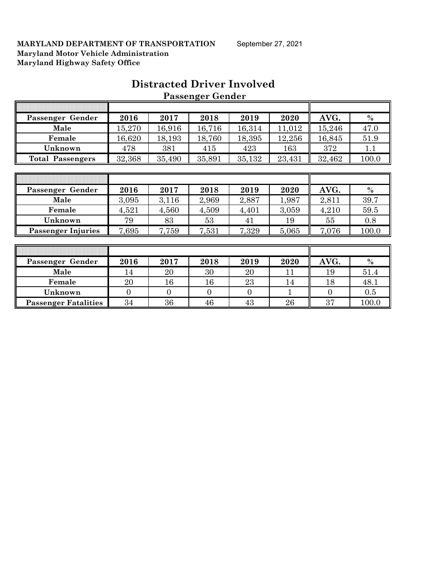| Passenger Gender            | 2016           | 2017           | 2018           | 2019           | 2020   | AVG.           | $\%$  |
|-----------------------------|----------------|----------------|----------------|----------------|--------|----------------|-------|
| Male                        | 15,270         | 16,916         | 16,716         | 16,314         | 11,012 | 15,246         | 47.0  |
| Female                      | 16,620         | 18,193         | 18,760         | 18,395         | 12,256 | 16,845         | 51.9  |
| Unknown                     | 478            | 381            | 415            | 423            | 163    | 372            | 1.1   |
| <b>Total Passengers</b>     | 32,368         | 35,490         | 35,891         | 35,132         | 23,431 | 32,462         | 100.0 |
|                             |                |                |                |                |        |                |       |
|                             |                |                |                |                |        |                |       |
| Passenger Gender            | 2016           | 2017           | 2018           | 2019           | 2020   | AVG.           | $\%$  |
| Male                        | 3,095          | 3,116          | 2,969          | 2,887          | 1,987  | 2,811          | 39.7  |
| Female                      | 4,521          | 4,560          | 4,509          | 4,401          | 3,059  | 4,210          | 59.5  |
| Unknown                     | 79             | 83             | 53             | 41             | 19     | 55             | 0.8   |
| <b>Passenger Injuries</b>   | 7,695          | 7,759          | 7,531          | 7,329          | 5,065  | 7,076          | 100.0 |
|                             |                |                |                |                |        |                |       |
|                             |                |                |                |                |        |                |       |
| Passenger Gender            | 2016           | 2017           | 2018           | 2019           | 2020   | AVG.           | $\%$  |
| Male                        | 14             | 20             | 30             | 20             | 11     | 19             | 51.4  |
| Female                      | 20             | 16             | 16             | 23             | 14     | 18             | 48.1  |
| Unknown                     | $\overline{0}$ | $\overline{0}$ | $\overline{0}$ | $\overline{0}$ | 1      | $\overline{0}$ | 0.5   |
| <b>Passenger Fatalities</b> | 34             | 36             | 46             | 43             | 26     | 37             | 100.0 |

# **Distracted Driver Involved Passenger Gender**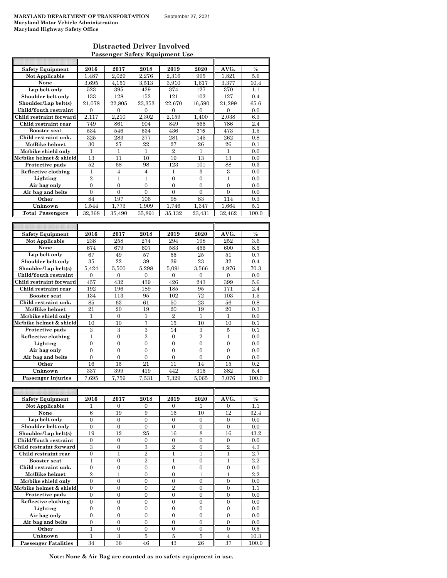$\mathbb{R}$ 

#### **Distracted Driver Involved Passenger Safety Equipment Use**

T

|                                 | 2016                  | 2017                  | 2018                               | 2019                             | 2020                             | AVG.                | $\%$           |
|---------------------------------|-----------------------|-----------------------|------------------------------------|----------------------------------|----------------------------------|---------------------|----------------|
| <b>Safety Equipment</b>         |                       |                       |                                    |                                  |                                  |                     |                |
| <b>Not Applicable</b>           | 1,487                 | 2,029                 | 2,276                              | 2,316                            | 995                              | 1,821               | 5.6            |
| None                            | 3,695                 | 4,151                 | 3,513                              | 3,910                            | 1,617                            | 3,377               | 10.4           |
| Lap belt only                   | 523                   | 395                   | 429                                | 374                              | 127                              | 370                 | 1.1            |
| Shoulder belt only              | 133                   | 128                   | 152                                | 121                              | 102                              | 127                 | 0.4            |
| Shoulder/Lap belt(s)            | 21,078                | 22,805                | 23.353                             | 22,670                           | 16,590                           | 21,299              | 65.6           |
| Child/Youth restraint           | $\mathbf{0}$          | $\mathbf{0}$          | $\overline{0}$                     | $\overline{0}$                   | $\Omega$                         | $\overline{0}$      | 0.0            |
|                                 |                       |                       |                                    |                                  |                                  |                     |                |
| Child restraint forward         | 2,117                 | 2,210                 | 2,302                              | 2,159                            | 1,400                            | 2,038               | 6.3            |
| Child restraint rear            | 749                   | 861                   | 904                                | 849                              | 566                              | 786                 | 2.4            |
| <b>Booster seat</b>             | 534                   | 546                   | 534                                | 436                              | 315                              | 473                 | 1.5            |
| Child restraint unk.            | 325                   | 283                   | 277                                | 281                              | 145                              | 262                 | 0.8            |
| Mc/Bike helmet                  | 30                    | 27                    | 22                                 | 27                               | 26                               | 26                  | 0.1            |
| Mc/bike shield only             | 1                     | 1                     | 1                                  | $\overline{2}$                   | $\mathbf{1}$                     | 1                   | 0.0            |
|                                 |                       |                       |                                    |                                  |                                  |                     |                |
| Mc/bike helmet & shield         | 13                    | 11                    | 10                                 | 19                               | 13                               | 13                  | 0.0            |
| Protective pads                 | 52                    | 68                    | 98                                 | 123                              | 101                              | 88                  | 0.3            |
| Reflective clothing             | $\mathbf{1}$          | $\overline{4}$        | $\overline{4}$                     | 1                                | 3                                | 3                   | 0.0            |
| Lighting                        | $\overline{2}$        | $\mathbf{1}$          | $\mathbf{1}$                       | $\boldsymbol{0}$                 | $\boldsymbol{0}$                 | $\mathbf{1}$        | 0.0            |
| Air bag only                    | $\overline{0}$        | $\overline{0}$        | $\overline{0}$                     | $\mathbf{0}$                     | $\mathbf{0}$                     | $\overline{0}$      | 0.0            |
| Air bag and belts               | $\overline{0}$        | $\boldsymbol{0}$      | $\overline{0}$                     | $\overline{0}$                   | $\overline{0}$                   | $\overline{0}$      | 0.0            |
| Other                           | 84                    | 197                   | 106                                | 98                               | 83                               | 114                 | 0.3            |
| Unknown                         |                       |                       |                                    |                                  |                                  |                     |                |
|                                 | 1,544                 | 1,773                 | 1,909                              | 1,746                            | 1,347                            | 1.664               | 5.1            |
| Total Passengers                | 32,368                | 35,490                | 35,891                             | 35,132                           | 23,431                           | 32,462              | 100.0          |
|                                 |                       |                       |                                    |                                  |                                  |                     |                |
|                                 |                       |                       |                                    |                                  |                                  |                     |                |
| <b>Safety Equipment</b>         | 2016                  | 2017                  | 2018                               | 2019                             | 2020                             | AVG.                | $\%$           |
| Not Applicable                  | 238                   | 258                   | 274                                | 294                              | 198                              | 252                 | $3.6\,$        |
| None                            | 674                   | 679                   | 607                                | 583                              | 456                              | 600                 | 8.5            |
|                                 |                       | 49                    |                                    |                                  | 25                               |                     |                |
| Lap belt only                   | 67                    |                       | 57                                 | 55                               |                                  | 51                  | 0.7            |
| Shoulder belt only              | 35                    | 22                    | 39                                 | 39                               | 23                               | 32                  | 0.4            |
| Shoulder/Lap belt(s)            | 5,424                 | 5.500                 | 5,298                              | 5.091                            | 3,566                            | 4,976               | 70.3           |
| Child/Youth restraint           | $\boldsymbol{0}$      | $\boldsymbol{0}$      | $\boldsymbol{0}$                   | $\mathbf{0}$                     | $\boldsymbol{0}$                 | $\boldsymbol{0}$    | 0.0            |
| Child restraint forward         | 457                   | 432                   | 439                                | 426                              | 243                              | 399                 | 5.6            |
| Child restraint rear            | 192                   | 196                   | 189                                | 185                              | 95                               | 171                 | 2.4            |
| <b>Booster seat</b>             | 134                   | 113                   | 95                                 | 102                              | 72                               | 103                 | 1.5            |
| Child restraint unk.            | 85                    | 63                    | 61                                 | 50                               | 23                               | 56                  | 0.8            |
|                                 | 21                    | 20                    |                                    | 20                               |                                  | 20                  |                |
| Mc/Bike helmet                  |                       |                       | 19                                 |                                  | 19                               |                     | 0.3            |
| Mc/bike shield only             | 1                     | $\mathbf{0}$          | 1                                  | $\overline{2}$                   | $\mathbf{1}$                     | 1                   | 0.0            |
| Mc/bike helmet & shield         | 10                    | 10                    | 7                                  | 15                               | 10                               | 10                  | 0.1            |
| Protective pads                 | 3                     | 3                     | 3                                  | 14                               | 3                                | 5                   | 0.1            |
| Reflective clothing             | $\mathbf{1}$          | $\overline{0}$        | $\overline{2}$                     | $\mathbf{0}$                     | $\overline{2}$                   | $\mathbf{1}$        | 0.0            |
| Lighting                        | $\overline{0}$        | 0                     |                                    |                                  |                                  |                     |                |
|                                 |                       |                       | $\overline{0}$                     | $\mathbf{0}$                     | $\mathbf{0}$                     | $\overline{0}$      | 0.0            |
|                                 |                       |                       |                                    |                                  |                                  |                     |                |
| Air bag only                    | $\boldsymbol{0}$      | $\boldsymbol{0}$      | $\boldsymbol{0}$                   | $\boldsymbol{0}$                 | $\boldsymbol{0}$                 | $\boldsymbol{0}$    | 0.0            |
| Air bag and belts               | $\boldsymbol{0}$      | $\boldsymbol{0}$      | $\boldsymbol{0}$                   | $\boldsymbol{0}$                 | $\boldsymbol{0}$                 | $\boldsymbol{0}$    | 0.0            |
| Other                           | 16                    | 15                    | 21                                 | 11                               | 14                               | 15                  | 0.2            |
| Unknown                         | 337                   | 399                   | 419                                | 442                              | 315                              | 382                 | 5.4            |
| <b>Passenger Injuries</b>       | 7,695                 | 7.759                 | 7,531                              | 7,329                            | 5,065                            | 7,076               | 100.0          |
|                                 |                       |                       |                                    |                                  |                                  |                     |                |
|                                 |                       |                       |                                    |                                  |                                  |                     |                |
|                                 |                       |                       |                                    |                                  |                                  |                     | $\%$           |
| <b>Safety Equipment</b>         | 2016<br>1             | 2017                  | 2018                               | 2019                             | 2020<br>1                        | AVG.                |                |
| Not Applicable                  |                       | 0                     | 0                                  | 0                                |                                  | 0                   | 1.1            |
| None                            | 6                     | 19                    | 9                                  | 16                               | 10                               | 12                  | 32.4           |
| Lap belt only                   | $\boldsymbol{0}$      | $\boldsymbol{0}$      | $\boldsymbol{0}$                   | $\mathbf{0}$                     | $\boldsymbol{0}$                 | $\mathbf{0}$        | 0.0            |
| Shoulder belt only              | $\boldsymbol{0}$      | $\overline{0}$        | $\boldsymbol{0}$                   | $\overline{0}$                   | $\boldsymbol{0}$                 | $\mathbf{0}$        | 0.0            |
| Shoulder/Lap belt(s)            | 19                    | 12                    | 25                                 | 16                               | $\,8\,$                          | $^{16}$             | 43.2           |
| Child/Youth restraint           | $\boldsymbol{0}$      | 0                     | 0                                  | 0                                | $\overline{0}$                   | 0                   | 0.0            |
| Child restraint forward         | 3                     | $\boldsymbol{0}$      | $\,3$                              | $\overline{2}$                   | $\boldsymbol{0}$                 | $\overline{2}$      | 4.3            |
| Child restraint rear            | $\boldsymbol{0}$      | $\mathbf 1$           | $\overline{2}$                     | 1                                | $\mathbf{1}$                     | 1                   | 2.7            |
| <b>Booster seat</b>             | 1                     | $\boldsymbol{0}$      | $\overline{2}$                     | $\mathbf{1}$                     | $\boldsymbol{0}$                 | $\mathbf{1}$        | 2.2            |
|                                 |                       |                       |                                    |                                  |                                  |                     |                |
| Child restraint unk.            | $\boldsymbol{0}$      | 0                     | $\boldsymbol{0}$                   | $\boldsymbol{0}$                 | $\boldsymbol{0}$                 | 0                   | 0.0            |
| Mc/Bike helmet                  | $\overline{2}$        | 1                     | $\boldsymbol{0}$                   | $\overline{0}$                   | $\mathbf{1}$                     | $\mathbf{1}$        | 2.2            |
| Mc/bike shield only             | $\boldsymbol{0}$      | $\overline{0}$        | $\overline{0}$                     | $\overline{0}$                   | $\overline{0}$                   | $\overline{0}$      | 0.0            |
| Mc/bike helmet & shield         | $\overline{0}$        | 0                     | $\boldsymbol{0}$                   | $\overline{2}$                   | $\overline{0}$                   | $\overline{0}$      | 1.1            |
| Protective pads                 | $\boldsymbol{0}$      | $\boldsymbol{0}$      | $\boldsymbol{0}$                   | $\boldsymbol{0}$                 | $\boldsymbol{0}$                 | $\boldsymbol{0}$    | 0.0            |
|                                 | $\boldsymbol{0}$      | $\boldsymbol{0}$      | $\boldsymbol{0}$                   | $\boldsymbol{0}$                 | $\boldsymbol{0}$                 | 0                   | 0.0            |
| Reflective clothing<br>Lighting | $\overline{0}$        | $\overline{0}$        | $\overline{0}$                     | $\overline{0}$                   | $\boldsymbol{0}$                 | $\overline{0}$      | 0.0            |
|                                 | $\boldsymbol{0}$      | 0                     | 0                                  | 0                                | 0                                | 0                   |                |
| Air bag only                    |                       |                       |                                    |                                  |                                  |                     | 0.0            |
| Air bag and belts<br>Other      | $\boldsymbol{0}$<br>1 | $\boldsymbol{0}$<br>0 | $\boldsymbol{0}$<br>$\overline{0}$ | $\boldsymbol{0}$<br>$\mathbf{0}$ | $\boldsymbol{0}$<br>$\mathbf{0}$ | 0<br>$\overline{0}$ | 0.0<br>$0.5\,$ |

**Passenger Fatalities** 34 36 46 43 26 37 100.0 **Note: None & Air Bag are counted as no safety equipment in use.**

**Unknown** 1 3 5 5 5 4 10.3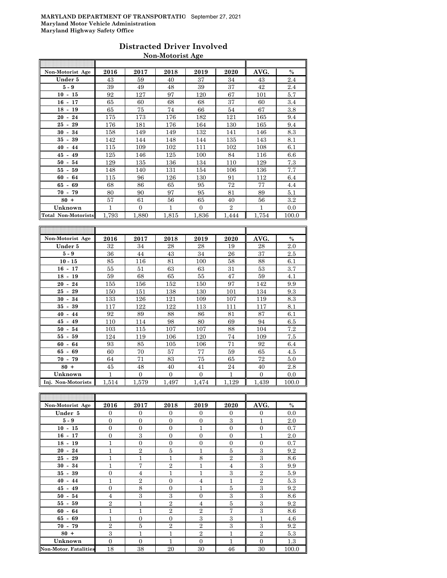## **Distracted Driver Involved Non-Motorist Age**

| Non-Motorist Age           | 2016         | 2017                      | 2018         | 2019             | 2020           | AVG.  | $\frac{0}{0}$ |
|----------------------------|--------------|---------------------------|--------------|------------------|----------------|-------|---------------|
| Under 5                    | 43           | 59                        | 40           | 37               | 34             | 43    | 2.4           |
| 5 - 9                      | 39           | 49                        | 48           | 39               | 37             | 42    | 2.4           |
| $10 - 15$                  | 92           | 127                       | 97           | 120              | 67             | 101   | 5.7           |
| $16 - 17$                  | 65           | 60                        | 68           | 68               | 37             | 60    | 3.4           |
| $18 - 19$                  | 65           | 75                        | 74           | 66               | 54             | 67    | 3.8           |
| $20 - 24$                  | 175          | 173                       | 176          | 182              | 121            | 165   | 9.4           |
| 29<br>25<br>$\blacksquare$ | 176          | 181                       | 176          | 164              | 130            | 165   | 9.4           |
| 30<br>34<br>$\blacksquare$ | 158          | 149                       | 149          | 132              | 141            | 146   | 8.3           |
| $35 - 39$                  | 142          | 144                       | 148          | 144              | 135            | 143   | 8.1           |
| 44<br>40<br>$\blacksquare$ | 115          | 109                       | 102          | 111              | 102            | 108   | 6.1           |
| 45<br>$-49$                | 125          | 146                       | 125          | 100              | 84             | 116   | 6.6           |
| 50<br>54<br>$\blacksquare$ | 129          | 135                       | 136          | 134              | 110            | 129   | 7.3           |
| 55<br>$-59$                | 148          | 140                       | 131          | 154              | 106            | 136   | 7.7           |
| 60<br>$\omega$<br>64       | 115          | 96                        | 126          | 130              | 91             | 112   | 6.4           |
| 65<br>69<br>$\blacksquare$ | 68           | 86                        | 65           | 95               | 72             | 77    | 4.4           |
| $70 - 79$                  | 80           | 90                        | 97           | 95               | 81             | 89    | 5.1           |
| $80 +$                     | 57           | 61                        | 56           | 65               | 40             | 56    | 3.2           |
| Unknown                    | $\mathbf{1}$ | $\Omega$                  | $\mathbf{1}$ | $\Omega$         | $\overline{2}$ | 1     | 0.0           |
| <b>Total Non-Motorists</b> | 1,793        | 1,880                     | 1,815        | 1,836            | 1,444          | 1,754 | 100.0         |
|                            |              |                           |              |                  |                |       |               |
|                            |              |                           |              |                  |                |       |               |
| Non-Motorist Age           | 2016         | 2017                      | 2018         | 2019             | 2020           | AVG.  | $\%$          |
| Under 5                    |              |                           |              |                  |                |       |               |
|                            | 32           | 34                        | 28           | 28               | 19             | 28    | 2.0           |
| $5 - 9$                    | 36           | 44                        | 43           | 34               | 26             | 37    | 2.5           |
| $10 - 15$                  | 85           | 116                       | 81           | 100              | 58             | 88    | 6.1           |
| $16 - 17$                  | 55           | 51                        | 63           | 63               | 31             | 53    | 3.7           |
| $18 - 19$                  | 59           | 68                        | 65           | 55               | 47             | 59    | 4.1           |
| $20 - 24$                  | 155          | 156                       | 152          | 150              | 97             | 142   | 9.9           |
| 25<br>29<br>$\blacksquare$ | 150          | 151                       | 138          | 130              | 101            | 134   | 9.3           |
| $30 -$<br>34               | 133          | 126                       | 121          | 109              | 107            | 119   | 8.3           |
| 39<br>35<br>$\sim$         | 117          | 122                       | 122          | 113              | 111            | 117   | 8.1           |
| 40<br>$-44$                | 92           | 89                        | 88           | 86               | 81             | 87    | 6.1           |
| $45 - 49$                  | 110          | 114                       | 98           | 80               | 69             | 94    | 6.5           |
| 54<br>50<br>$\blacksquare$ | 103          | 115                       | 107          | 107              | 88             | 104   | 7.2           |
| 55<br>59<br>$\sim$         | 124          | 119                       | 106          | 120              | 74             | 109   | 7.5           |
| 60<br>64<br>$\blacksquare$ | 93           | 85                        | 105          | 106              | 71             | 92    | 6.4           |
| 65<br>69<br>$\sim$         | 60           | 70                        | 57           | 77               | 59             | 65    | 4.5           |
| 70<br>79<br>$\sim$         | 64           | 71                        | 83           | 75               | 65             | 72    | 5.0           |
| $80 +$                     | 45           | 48                        | 40           | 41               | 24             | 40    | 2.8           |
| Unknown                    | 1<br>1,514   | $\boldsymbol{0}$<br>1,579 | 0            | $\boldsymbol{0}$ | $\mathbf 1$    | 0     | 0.0           |

| Non-Motorist Age             | 2016           | 2017           | 2018           | 2019           | 2020           | AVG.             | $\%$  |
|------------------------------|----------------|----------------|----------------|----------------|----------------|------------------|-------|
| Under 5                      | $\Omega$       | $\theta$       | $\Omega$       | $\Omega$       | $\Omega$       | $\mathbf{0}$     | 0.0   |
| $5 - 9$                      | $\mathbf{0}$   | $\mathbf{0}$   | $\mathbf{0}$   | $\overline{0}$ | 3              | $\mathbf{1}$     | 2.0   |
| $10 - 15$                    | $\overline{0}$ | $\overline{0}$ | $\overline{0}$ | 1              | $\mathbf{0}$   | $\overline{0}$   | 0.7   |
| $16 - 17$                    | $\overline{0}$ | 3              | $\overline{0}$ | $\overline{0}$ | $\mathbf{0}$   | $\mathbf{1}$     | 2.0   |
| $18 - 19$                    | 1              | $\overline{0}$ | $\overline{0}$ | $\overline{0}$ | $\theta$       | $\overline{0}$   | 0.7   |
| $20 - 24$                    | 1              | $\overline{2}$ | 5              | $\mathbf{1}$   | 5              | 3                | 9.2   |
| $25 - 29$                    | 1              | $\mathbf{1}$   | 1              | 8              | $\overline{2}$ | 3                | 8.6   |
| $30 - 34$                    | 1              | 7              | $\overline{2}$ | 1              | $\overline{4}$ | 3                | 9.9   |
| $35 - 39$                    | $\overline{0}$ | $\overline{4}$ | $\mathbf{1}$   | $\mathbf{1}$   | 3              | $\overline{2}$   | 5.9   |
| $40 - 44$                    | 1              | $\overline{2}$ | $\overline{0}$ | 4              | 1              | $\boldsymbol{2}$ | 5.3   |
| $45 - 49$                    | $\Omega$       | 8              | $\Omega$       | $\mathbf{1}$   | 5              | $\mathbf{a}$     | 9.2   |
| $50 - 54$                    | $\overline{4}$ | 3              | 3              | $\Omega$       | 3              | 3                | 8.6   |
| $55 - 59$                    | $\overline{2}$ | $\mathbf{1}$   | $\overline{2}$ | 4              | 5              | 3                | 9.2   |
| $60 - 64$                    | $\mathbf{1}$   | $\overline{1}$ | $\overline{2}$ | $\overline{2}$ | $\overline{7}$ | 3                | 8.6   |
| $65 - 69$                    | 1              | $\overline{0}$ | $\overline{0}$ | 3              | 3              | $\mathbf{1}$     | 4.6   |
| $70 - 79$                    | $\overline{2}$ | 5              | $\overline{2}$ | $\overline{2}$ | 3              | $\mathbf{a}$     | 9.2   |
| $80 +$                       | 3              | $\mathbf{1}$   | $\mathbf{1}$   | $\overline{2}$ | $\overline{1}$ | $\overline{2}$   | 5.3   |
| Unknown                      | $\overline{0}$ | $\overline{0}$ | 1              | $\Omega$       | 1              | $\overline{0}$   | 1.3   |
| <b>Non-Motor. Fatalities</b> | 18             | 38             | 20             | 30             | 46             | 30               | 100.0 |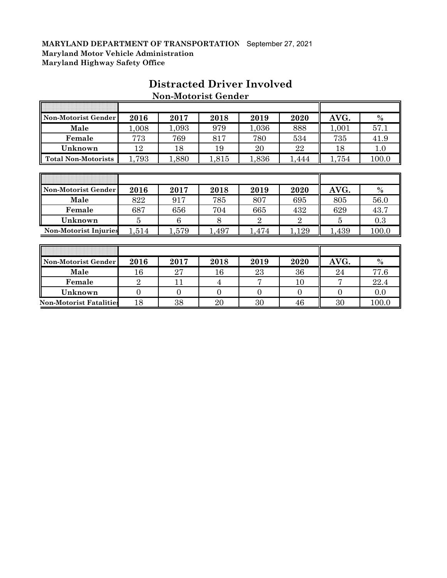| Non-Motorist Gender          | 2016           | 2017  | 2018  | 2019           | 2020           | AVG.  | $\%$  |
|------------------------------|----------------|-------|-------|----------------|----------------|-------|-------|
| Male                         | 1,008          | 1,093 | 979   | 1,036          | 888            | 1,001 | 57.1  |
| Female                       | 773            | 769   | 817   | 780            | 534            | 735   | 41.9  |
| Unknown                      | 12             | 18    | 19    | 20             | 22             | 18    | 1.0   |
| <b>Total Non-Motorists</b>   | 1,793          | 1,880 | 1,815 | 1,836          | 1,444          | 1,754 | 100.0 |
|                              |                |       |       |                |                |       |       |
|                              |                |       |       |                |                |       |       |
| Non-Motorist Gender          | 2016           | 2017  | 2018  | 2019           | 2020           | AVG.  | $\%$  |
| Male                         | 822            | 917   | 785   | 807            | 695            | 805   | 56.0  |
| Female                       | 687            | 656   | 704   | 665            | 432            | 629   | 43.7  |
| Unknown                      | $\overline{5}$ | 6     | 8     | $\overline{2}$ | $\overline{2}$ | 5     | 0.3   |
| <b>Non-Motorist Injuries</b> | 1,514          | 1,579 | 1,497 | 1,474          | 1,129          | 1,439 | 100.0 |
|                              |                |       |       |                |                |       |       |
|                              |                |       |       |                |                |       |       |
| Non-Motorist Gender          | 2016           | 2017  | 2018  | 2019           | 2020           | AVG.  | $\%$  |
| Male                         | 16             | 27    | 16    | 23             | 36             | 24    | 77.6  |
| Female                       | $\overline{2}$ | 11    | 4     | 7              | 10             | 7     | 22.4  |

**Unknown** 0 0 0 0 0 0 0.0 **Non-Motorist Fatalities** 18 38 20 30 46 30 100.0

# **Distracted Driver Involved Non-Motorist Gender**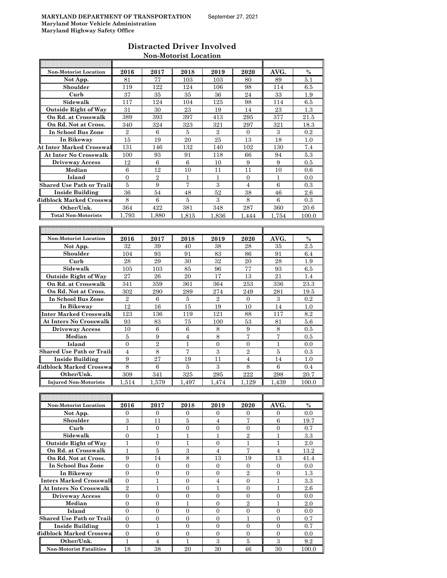$\overline{\mathbf{r}}$ 

 $\overline{E}$ 

| Distracted Driver Involved   |  |
|------------------------------|--|
| <b>Non-Motorist Location</b> |  |

| <b>Non-Motorist Location</b>     | 2016             | 2017            | 2018             | 2019             | 2020              | AVG.           | $\%$  |
|----------------------------------|------------------|-----------------|------------------|------------------|-------------------|----------------|-------|
| Not App.                         | 81               | 77              | 103              | 103              | 80                | 89             | 5.1   |
| Shoulder                         | 119              | 122             | 124              | 106              | 98                | 114            | 6.5   |
| Curb                             | 37               | 35              | 35               | 36               | 24                | 33             | 1.9   |
| Sidewalk                         | 117              | 124             | 104              | 125              | 98                | 114            | 6.5   |
|                                  |                  |                 |                  |                  |                   |                |       |
| <b>Outside Right of Way</b>      | 31               | 30              | 23               | 19               | 14                | 23             | 1.3   |
| On Rd. at Crosswalk              | 389              | 393             | 397              | 413              | 295               | 377            | 21.5  |
| On Rd. Not at Cross.             | 340              | 324             | 323              | 321              | 297               | 321            | 18.3  |
| In School Bus Zone               | $\overline{2}$   | 6               | 5                | $\overline{2}$   | $\mathbf{0}$      | 3              | 0.2   |
| In Bikeway                       | 15               | 19              | 20               | 25               | 13                | 18             | 1.0   |
| <b>At Inter Marked Crosswal</b>  | 131              | 146             | 132              | 140              | 102               | 130            | 7.4   |
| <b>At Inter No Crosswalk</b>     | 100              | 93              | 91               | 118              | 66                | 94             | 5.3   |
| <b>Driveway Access</b>           | 12               | 6               | 6                | 10               | 9                 | 9              | 0.5   |
| Median                           |                  | 12              | 10               | 11               | 11                |                | 0.6   |
|                                  | 6                |                 |                  |                  |                   | 10             |       |
| Island                           | $\overline{0}$   | $\overline{2}$  | $\mathbf{1}$     | $\mathbf 1$      | $\overline{0}$    | $\mathbf{1}$   | 0.0   |
| <b>Shared Use Path or Trails</b> | 5                | 9               | $\overline{7}$   | 3                | $\overline{4}$    | 6              | 0.3   |
| <b>Inside Building</b>           | 36               | 54              | 48               | 52               | 38                | 46             | 2.6   |
| <b>Midblock Marked Crosswa</b>   | 8                | 6               | 5                | 3                | 8                 | $\,6$          | 0.3   |
| Other/Unk.                       | 364              | 422             | 381              | 348              | 287               | 360            | 20.6  |
| <b>Total Non-Motorists</b>       | 1.793            | 1.880           | 1,815            | 1,836            | 1.444             | 1.754          | 100.0 |
|                                  |                  |                 |                  |                  |                   |                |       |
|                                  |                  |                 |                  |                  |                   |                |       |
|                                  |                  |                 |                  |                  |                   |                |       |
| <b>Non-Motorist Location</b>     | 2016             | 2017            | 2018             | 2019             | 2020              | AVG.           | $\%$  |
| Not App.                         | 32               | 39              | 40               | 38               | 28                | 35             | 2.5   |
| Shoulder                         | 104              | 93              | 91               | 83               | 86                | 91             | 6.4   |
| Curb                             | 28               | 29              | 30               | 32               | 20                | 28             | 1.9   |
| Sidewalk                         | 105              | 103             | 85               | 96               | 77                | 93             | 6.5   |
| <b>Outside Right of Way</b>      | 27               | 26              | 20               | 17               | 13                | 21             | 1.4   |
| On Rd. at Crosswalk              | 341              | 359             | 361              | 364              | 253               | 336            | 23.3  |
| On Rd. Not at Cross.             | 302              | 290             | 289              | 274              | 249               | 281            | 19.5  |
| In School Bus Zone               | $\overline{2}$   | 6               | 5                | $\overline{2}$   | $\overline{0}$    | $\,3$          | 0.2   |
|                                  |                  |                 |                  |                  |                   |                |       |
| In Bikeway                       | 12               | 16              | 15               | 19               | 10                | 14             | 1.0   |
| Inter Marked Crosswalk           | 123              | 136             | 119              | 121              | 88                | 117            | 8.2   |
| <b>At Inters No Crosswalk</b>    | 93               | 83              | 75               | 100              | 53                | 81             | 5.6   |
| <b>Driveway Access</b>           | 10               | $\,6$           | 6                | 8                | 9                 | 8              | 0.5   |
| Median                           | $\overline{5}$   | 9               | $\overline{4}$   | 8                | 7                 | $\overline{7}$ | 0.5   |
| Island                           | $\overline{0}$   | $\overline{2}$  | 1                | 0                | 0                 | $\mathbf{1}$   | 0.0   |
| <b>Shared Use Path or Trails</b> | $\overline{4}$   | 8               | $\overline{7}$   | $\boldsymbol{3}$ | $\overline{2}$    | $\overline{5}$ | 0.3   |
| <b>Inside Building</b>           | $\boldsymbol{9}$ | $\overline{27}$ | 19               | 11               | $\overline{4}$    | 14             | 1.0   |
| Midblock Marked Crosswa          | 8                | 6               | 5                | $\,3$            | $\,8\,$           | 6              | 0.4   |
| Other/Unk.                       | 309              | 341             | 325              | 295              | 222               | 298            | 20.7  |
|                                  |                  |                 |                  |                  |                   |                |       |
| <b>Injured Non-Motorists</b>     | 1,514            | 1.579           | 1,497            | 1.474            | 1.129             | 1,439          | 100.0 |
|                                  |                  |                 |                  |                  |                   |                |       |
|                                  |                  |                 |                  |                  |                   |                |       |
| <b>Non-Motorist Location</b>     | 2016             | 2017            | 2018             | 2019             | 2020              | AVG.           | $\%$  |
| Not App.                         | $\mathbf{0}$     | $\overline{0}$  | $\overline{0}$   | $\overline{0}$   | $\mathbf{0}$      | $\overline{0}$ | 0.0   |
| Shoulder                         | $\,3$            | 11              | $\bf 5$          | $\overline{4}$   | $\scriptstyle{7}$ | $\,6$          | 19.7  |
| Curb                             | 1                | 0               | 0                | 0                | 0                 | 0              | 0.7   |
| Sidewalk                         | $\mathbf{0}$     | 1               | $\mathbf{1}$     | 1                | $\overline{2}$    | $\mathbf{1}$   | 3.3   |
| <b>Outside Right of Way</b>      | $\mathbf{1}$     | $\mathbf{0}$    | $\mathbf{1}$     | $\overline{0}$   | 1                 | $\mathbf{1}$   | 2.0   |
| On Rd. at Crosswalk              | $\mathbf{1}$     | $\bf 5$         | $\,3$            | $\overline{4}$   | $\scriptstyle{7}$ | $\overline{4}$ |       |
|                                  |                  |                 |                  |                  |                   |                | 13.2  |
| On Rd. Not at Cross.             | 9                | 14              | $\,8\,$          | 13               | 19                | 13             | 41.4  |
| In School Bus Zone               | $\overline{0}$   | $\overline{0}$  | $\mathbf{0}$     | $\overline{0}$   | $\overline{0}$    | 0              | 0.0   |
| In Bikeway                       | $\overline{0}$   | $\overline{0}$  | $\mathbf{0}$     | $\overline{0}$   | $\overline{2}$    | $\mathbf{0}$   | 1.3   |
| Inters Marked Crosswall          | $\overline{0}$   | 1               | $\overline{0}$   | $\overline{4}$   | 0                 | $\mathbf{1}$   | 3.3   |
| <b>At Inters No Crosswalk</b>    | $\overline{2}$   | 1               | $\overline{0}$   | 1                | $\overline{0}$    | $\mathbf{1}$   | 2.6   |
| <b>Driveway Access</b>           | $\overline{0}$   | $\overline{0}$  | $\mathbf{0}$     | $\mathbf{0}$     | $\mathbf{0}$      | $\overline{0}$ | 0.0   |
| Median                           | $\boldsymbol{0}$ | $\overline{0}$  | $\mathbf{1}$     | $\overline{0}$   | $\overline{2}$    | $\mathbf{1}$   | 2.0   |
| Island                           | $\boldsymbol{0}$ | 0               | 0                | 0                | 0                 | 0              | 0.0   |
| <b>Shared Use Path or Trails</b> | $\overline{0}$   | $\overline{0}$  | $\overline{0}$   | $\overline{0}$   | $\mathbf{1}$      | 0              | 0.7   |
|                                  |                  |                 |                  |                  |                   |                |       |
| <b>Inside Building</b>           | $\mathbf{0}$     | $\mathbf{1}$    | $\overline{0}$   | $\overline{0}$   | $\overline{0}$    | $\overline{0}$ | 0.7   |
| Midblock Marked Crosswa          |                  |                 |                  | 0                | $\boldsymbol{0}$  | 0              | 0.0   |
|                                  | $\overline{0}$   | 0               | $\boldsymbol{0}$ |                  |                   |                |       |
| Other/Unk.                       | $\mathbf{1}$     | 4<br>38         | 1                | 3<br>30          | $\bf 5$           | $\,3$<br>30    | 9.2   |